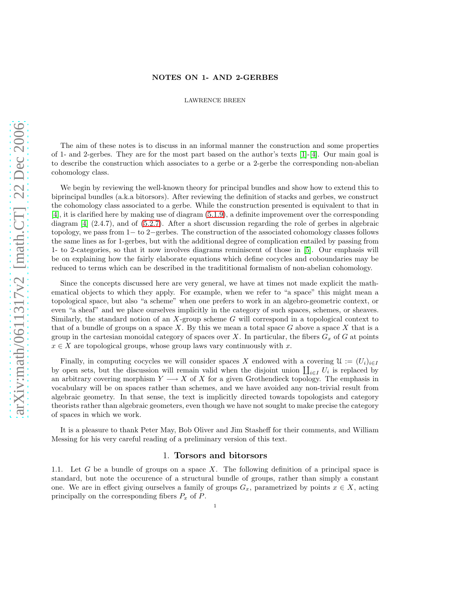# NOTES ON 1- AND 2-GERBES

#### LAWRENCE BREEN

The aim of these notes is to discuss in an informal manner the construction and some properties of 1- and 2-gerbes. They are for the most part based on the author's texts [\[1\]](#page-31-0)-[\[4\]](#page-31-1). Our main goal is to describe the construction which associates to a gerbe or a 2-gerbe the corresponding non-abelian cohomology class.

We begin by reviewing the well-known theory for principal bundles and show how to extend this to biprincipal bundles (a.k.a bitorsors). After reviewing the definition of stacks and gerbes, we construct the cohomology class associated to a gerbe. While the construction presented is equivalent to that in [\[4\]](#page-31-1), it is clarified here by making use of diagram [\(5.1.9\)](#page-11-0), a definite improvement over the corresponding diagram [\[4\]](#page-31-1) (2.4.7), and of [\(5.2.7\)](#page-13-0). After a short discussion regarding the role of gerbes in algebraic topology, we pass from 1− to 2−gerbes. The construction of the associated cohomology classes follows the same lines as for 1-gerbes, but with the additional degree of complication entailed by passing from 1- to 2-categories, so that it now involves diagrams reminiscent of those in [\[5\]](#page-31-2). Our emphasis will be on explaining how the fairly elaborate equations which define cocycles and coboundaries may be reduced to terms which can be described in the tradititional formalism of non-abelian cohomology.

Since the concepts discussed here are very general, we have at times not made explicit the mathematical objects to which they apply. For example, when we refer to "a space" this might mean a topological space, but also "a scheme" when one prefers to work in an algebro-geometric context, or even "a sheaf" and we place ourselves implicitly in the category of such spaces, schemes, or sheaves. Similarly, the standard notion of an  $X$ -group scheme  $G$  will correspond in a topological context to that of a bundle of groups on a space X. By this we mean a total space  $G$  above a space X that is a group in the cartesian monoidal category of spaces over X. In particular, the fibers  $G_x$  of G at points  $x \in X$  are topological groups, whose group laws vary continuously with x.

Finally, in computing cocycles we will consider spaces X endowed with a covering  $\mathfrak{U} := (U_i)_{i \in I}$ by open sets, but the discussion will remain valid when the disjoint union  $\prod_{i\in I} U_i$  is replaced by an arbitrary covering morphism  $Y \longrightarrow X$  of X for a given Grothendieck topology. The emphasis in vocabulary will be on spaces rather than schemes, and we have avoided any non-trivial result from algebraic geometry. In that sense, the text is implicitly directed towards topologists and category theorists rather than algebraic geometers, even though we have not sought to make precise the category of spaces in which we work.

It is a pleasure to thank Peter May, Bob Oliver and Jim Stasheff for their comments, and William Messing for his very careful reading of a preliminary version of this text.

#### 1. Torsors and bitorsors

1.1. Let G be a bundle of groups on a space X. The following definition of a principal space is standard, but note the occurence of a structural bundle of groups, rather than simply a constant one. We are in effect giving ourselves a family of groups  $G_x$ , parametrized by points  $x \in X$ , acting principally on the corresponding fibers  $P_x$  of  $P$ .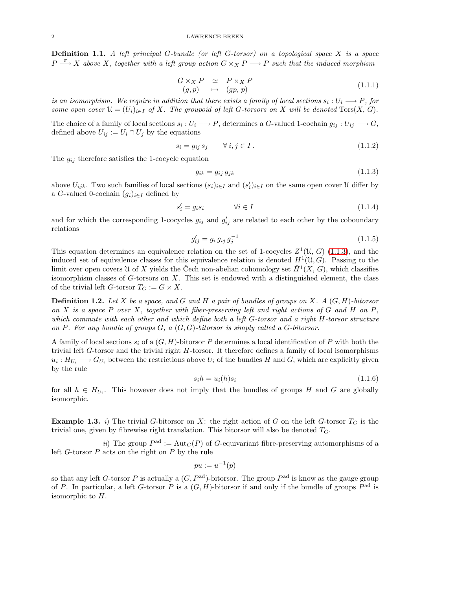Definition 1.1. *A left principal* G*-bundle (or left* G*-torsor) on a topological space* X *is a space*  $P \stackrel{\pi}{\longrightarrow} X$  above X, together with a left group action  $G \times_X P \longrightarrow P$  such that the induced morphism

<span id="page-1-4"></span>
$$
G \times_X P \simeq P \times_X P (g, p) \mapsto (gp, p)
$$
\n(1.1.1)

is an isomorphism. We require in addition that there exists a family of local sections  $s_i: U_i \longrightarrow P$ , for *some open cover*  $\mathfrak{U} = (U_i)_{i \in I}$  *of* X*.* The groupoid of left G-torsors on X *will be denoted* Tors(X, G).

The choice of a family of local sections  $s_i: U_i \longrightarrow P$ , determines a G-valued 1-cochain  $g_{ij}: U_{ij} \longrightarrow G$ , defined above  $U_{ij} := U_i \cap U_j$  by the equations

<span id="page-1-1"></span>
$$
s_i = g_{ij} s_j \qquad \forall i, j \in I. \tag{1.1.2}
$$

The  $g_{ij}$  therefore satisfies the 1-cocycle equation

<span id="page-1-0"></span>
$$
g_{ik} = g_{ij} g_{jk} \tag{1.1.3}
$$

above  $U_{ijk}$ . Two such families of local sections  $(s_i)_{i\in I}$  and  $(s'_i)_{i\in I}$  on the same open cover U differ by a G-valued 0-cochain  $(g_i)_{i\in I}$  defined by

<span id="page-1-3"></span>
$$
s_i' = g_i s_i \qquad \qquad \forall i \in I \tag{1.1.4}
$$

and for which the corresponding 1-cocycles  $g_{ij}$  and  $g'_{ij}$  are related to each other by the coboundary relations

$$
g'_{ij} = g_i g_{ij} g_j^{-1}
$$
\n(1.1.5)

This equation determines an equivalence relation on the set of 1-cocycles  $Z^1(\mathfrak{U}, G)$  [\(1.1.3\)](#page-1-0), and the induced set of equivalence classes for this equivalence relation is denoted  $H^1(\mathcal{U}, G)$ . Passing to the limit over open covers U of X yields the Čech non-abelian cohomology set  $\check{H}^1(X, G)$ , which classifies isomorphism classes of  $G$ -torsors on  $X$ . This set is endowed with a distinguished element, the class of the trivial left G-torsor  $T_G := G \times X$ .

Definition 1.2. *Let* X *be a space, and* G *and* H *a pair of bundles of groups on* X*. A* (G, H)*-bitorsor on* X *is a space* P *over* X*, together with fiber-preserving left and right actions of* G *and* H *on* P*, which commute with each other and which define both a left* G*-torsor and a right* H*-torsor structure on* P*. For any bundle of groups* G*, a* (G, G)*-bitorsor is simply called a* G*-bitorsor.*

A family of local sections  $s_i$  of a  $(G, H)$ -bitorsor P determines a local identification of P with both the trivial left  $G$ -torsor and the trivial right  $H$ -torsor. It therefore defines a family of local isomorphisms  $u_i: H_{U_i} \longrightarrow G_{U_i}$  between the restrictions above  $U_i$  of the bundles H and G, which are explicitly given by the rule

<span id="page-1-2"></span>
$$
s_i h = u_i(h)s_i \tag{1.1.6}
$$

for all  $h \in H_{U_i}$ . This however does not imply that the bundles of groups H and G are globally isomorphic.

**Example 1.3.** *i*) The trivial G-bitorsor on X: the right action of G on the left G-torsor  $T_G$  is the trivial one, given by fibrewise right translation. This bitorsor will also be denoted  $T<sub>G</sub>$ .

*ii*) The group  $P^{ad} := Aut_G(P)$  of G-equivariant fibre-preserving automorphisms of a left  $G$ -torsor  $P$  acts on the right on  $P$  by the rule

$$
pu := u^{-1}(p)
$$

so that any left G-torsor P is actually a  $(G, P^{ad})$ -bitorsor. The group  $P^{ad}$  is know as the gauge group of P. In particular, a left G-torsor P is a  $(G, H)$ -bitorsor if and only if the bundle of groups  $P^{\text{ad}}$  is isomorphic to  $H$ .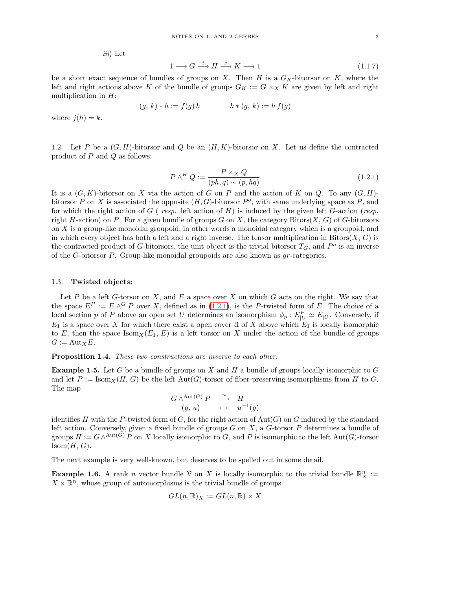*iii*) Let

<span id="page-2-1"></span>
$$
1 \longrightarrow G \stackrel{i}{\longrightarrow} H \stackrel{j}{\longrightarrow} K \longrightarrow 1 \tag{1.1.7}
$$

be a short exact sequence of bundles of groups on X. Then H is a  $G_K$ -bitorsor on K, where the left and right actions above K of the bundle of groups  $G_K := G \times_X K$  are given by left and right multiplication in H:

$$
(g, k) * h := f(g) h \qquad h * (g, k) := h f(g)
$$

where  $i(h) = k$ .

1.2. Let P be a  $(G, H)$ -bitorsor and Q be an  $(H, K)$ -bitorsor on X. Let us define the contracted product of  $P$  and  $Q$  as follows:

<span id="page-2-0"></span>
$$
P \wedge^H Q := \frac{P \times_X Q}{(ph, q) \sim (p, hq)}\tag{1.2.1}
$$

It is a  $(G, K)$ -bitorsor on X via the action of G on P and the action of K on Q. To any  $(G, H)$ bitorsor P on X is associated the opposite  $(H, G)$ -bitorsor  $P^o$ , with same underlying space as P, and for which the right action of G ( *resp.* left action of H) is induced by the given left G-action (*resp.* right H-action) on P. For a given bundle of groups G on X, the category Bitors $(X, G)$  of G-bitorsors on  $X$  is a group-like monoidal groupoid, in other words a monoidal category which is a groupoid, and in which every object has both a left and a right inverse. The tensor multiplication in  $Bitors(X, G)$  is the contracted product of G-bitorsors, the unit object is the trivial bitorsor  $T_G$ , and  $P^o$  is an inverse of the G-bitorsor P. Group-like monoidal groupoids are also known as gr-categories.

#### 1.3. Twisted objects:

Let  $P$  be a left  $G$ -torsor on  $X$ , and  $E$  a space over  $X$  on which  $G$  acts on the right. We say that the space  $E^P := E \wedge^G P$  over X, defined as in [\(1.2.1\)](#page-2-0), is the P-twisted form of E. The choice of a local section p of P above an open set U determines an isomorphism  $\phi_p : E_{|U}^P \simeq E_{|U}$ . Conversely, if  $E_1$  is a space over X for which there exist a open cover U of X above which  $E_1$  is locally isomorphic to E, then the space  $\text{Isom}_X(E_1, E)$  is a left torsor on X under the action of the bundle of groups  $G := Aut_XE$ .

Proposition 1.4. *These two constructions are inverse to each other.*

**Example 1.5.** Let G be a bundle of groups on X and H a bundle of groups locally isomorphic to G and let  $P := \text{Isom}_X(H, G)$  be the left Aut(G)-torsor of fiber-preserving isomorphisms from H to G. The map

$$
\begin{array}{ccc}\nG \wedge^{\text{Aut}(G)} P & \stackrel{\sim}{\longrightarrow} & H \\
(g, u) & \mapsto & u^{-1}(g)\n\end{array}
$$

identifies H with the P-twisted form of G, for the right action of  $Aut(G)$  on G induced by the standard left action. Conversely, given a fixed bundle of groups  $G$  on  $X$ , a  $G$ -torsor  $P$  determines a bundle of groups  $H := G \wedge^{\mathrm{Aut}(G)} P$  on X locally isomorphic to G, and P is isomorphic to the left Aut(G)-torsor  $Isom(H, G)$ .

The next example is very well-known, but deserves to be spelled out in some detail.

**Example 1.6.** A rank *n* vector bundle  $\mathcal V$  on X is locally isomorphic to the trivial bundle  $\mathbb{R}^n$  :=  $X \times \mathbb{R}^n$ , whose group of automorphisms is the trivial bundle of groups

$$
GL(n,\mathbb{R})_X := GL(n,\mathbb{R}) \times X
$$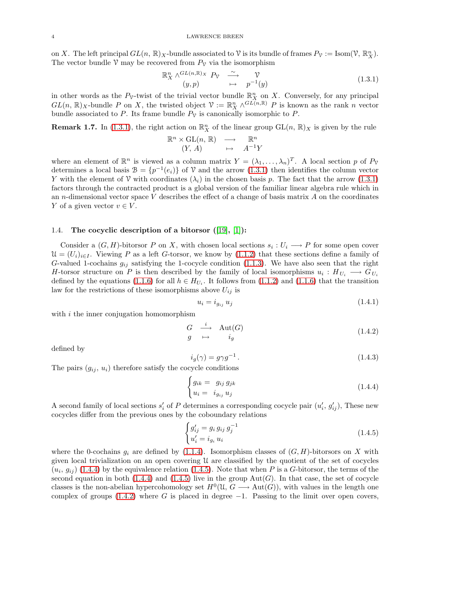on X. The left principal  $GL(n, \mathbb{R})_X$ -bundle associated to V is its bundle of frames  $P_\mathcal{V} := \text{Isom}(\mathcal{V}, \mathbb{R}_X^n)$ . The vector bundle  $\mathcal V$  may be recovered from  $P_{\mathcal V}$  via the isomorphism

<span id="page-3-0"></span>
$$
\mathbb{R}^n_X \wedge^{GL(n,\mathbb{R})_X} P_{\mathcal{V}} \xrightarrow{\sim} \mathcal{V}
$$
  
(1.3.1)  

$$
p^{-1}(y)
$$

in other words as the  $P_{\mathcal{V}}$ -twist of the trivial vector bundle  $\mathbb{R}_{X}^{n}$  on X. Conversely, for any principal  $GL(n,\mathbb{R})$ <sub>X</sub>-bundle P on X, the twisted object  $\mathcal{V} := \mathbb{R}_{X}^{n} \wedge^{GL(n,\mathbb{R})} P$  is known as the rank n vector bundle associated to P. Its frame bundle  $P<sub>V</sub>$  is canonically isomorphic to P.

**Remark 1.7.** In [\(1.3.1\)](#page-3-0), the right action on  $\mathbb{R}_{X}^{n}$  of the linear group  $GL(n, \mathbb{R})_{X}$  is given by the rule

$$
\mathbb{R}^n \times \mathrm{GL}(n, \mathbb{R}) \longrightarrow \mathbb{R}^n
$$
  
(Y, A)  $\mapsto$   $A^{-1}Y$ 

where an element of  $\mathbb{R}^n$  is viewed as a column matrix  $Y = (\lambda_1, \ldots, \lambda_n)^T$ . A local section p of  $P_{\mathcal{V}}$ determines a local basis  $\mathcal{B} = \{p^{-1}(e_i)\}\$  of  $\mathcal V$  and the arrow  $(1.3.1)$  then identifies the column vector Y with the element of V with coordinates  $(\lambda_i)$  in the chosen basis p. The fact that the arrow [\(1.3.1\)](#page-3-0) factors through the contracted product is a global version of the familiar linear algebra rule which in an n-dimensional vector space  $V$  describes the effect of a change of basis matrix  $A$  on the coordinates Y of a given vector  $v \in V$ .

## <span id="page-3-6"></span>1.4. The cocyclic description of a bitorsor  $([19], [1])$  $([19], [1])$  $([19], [1])$  $([19], [1])$  $([19], [1])$ :

Consider a  $(G, H)$ -bitorsor P on X, with chosen local sections  $s_i : U_i \longrightarrow P$  for some open cover  $\mathcal{U} = (U_i)_{i \in I}$ . Viewing P as a left G-torsor, we know by [\(1.1.2\)](#page-1-1) that these sections define a family of G-valued 1-cochains  $g_{ij}$  satisfying the 1-cocycle condition [\(1.1.3\)](#page-1-0). We have also seen that the right H-torsor structure on P is then described by the family of local isomorphisms  $u_i: H_{U_i} \longrightarrow G_{U_i}$ defined by the equations [\(1.1.6\)](#page-1-2) for all  $h \in H_{U_i}$ . It follows from [\(1.1.2\)](#page-1-1) and (1.1.6) that the transition law for the restrictions of these isomorphisms above  $U_{ij}$  is

<span id="page-3-4"></span>
$$
u_i = i_{g_{ij}} u_j \tag{1.4.1}
$$

with  $i$  the inner conjugation homomorphism

<span id="page-3-3"></span>
$$
\begin{array}{ccc}\nG & \xrightarrow{i} & \text{Aut}(G) \\
g & \mapsto & i_g\n\end{array} \tag{1.4.2}
$$

defined by

<span id="page-3-5"></span>
$$
i_g(\gamma) = g\gamma g^{-1}.
$$
\n(1.4.3)

The pairs  $(g_{ij}, u_i)$  therefore satisfy the cocycle conditions

<span id="page-3-1"></span>
$$
\begin{cases}\ng_{ik} = g_{ij} g_{jk} \\
u_i = i_{g_{ij}} u_j\n\end{cases} \tag{1.4.4}
$$

A second family of local sections  $s'_i$  of P determines a corresponding cocycle pair  $(u'_i, g'_{ij})$ , These new cocycles differ from the previous ones by the coboundary relations

<span id="page-3-2"></span>
$$
\begin{cases}\ng'_{ij} = g_i \, g_{ij} \, g_j^{-1} \\
u'_i = i_{g_i} \, u_i\n\end{cases} \tag{1.4.5}
$$

where the 0-cochains  $q_i$  are defined by [\(1.1.4\)](#page-1-3). Isomorphism classes of  $(G, H)$ -bitorsors on X with given local trivialization on an open covering U are classified by the quotient of the set of cocycles  $(u_i, g_{ij})$  [\(1.4.4\)](#page-3-1) by the equivalence relation [\(1.4.5\)](#page-3-2). Note that when P is a G-bitorsor, the terms of the second equation in both [\(1.4.4\)](#page-3-1) and [\(1.4.5\)](#page-3-2) live in the group  $Aut(G)$ . In that case, the set of cocycle classes is the non-abelian hypercohomology set  $H^0(\mathfrak{U}, G \longrightarrow \text{Aut}(G))$ , with values in the length one complex of groups  $(1.4.2)$  where G is placed in degree  $-1$ . Passing to the limit over open covers,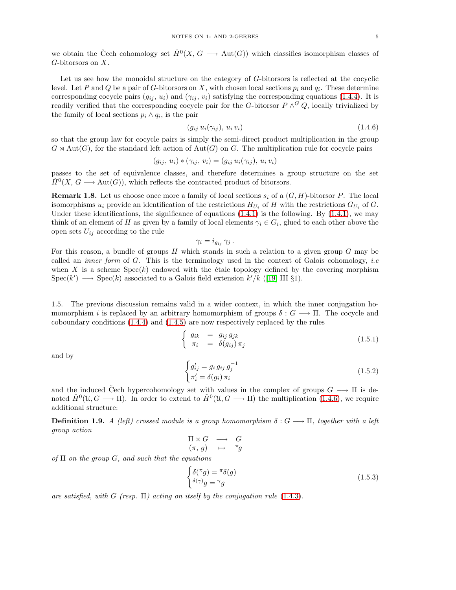we obtain the Čech cohomology set  $\check{H}^0(X, G \longrightarrow \text{Aut}(G))$  which classifies isomorphism classes of G-bitorsors on X.

Let us see how the monoidal structure on the category of G-bitorsors is reflected at the cocyclic level. Let P and Q be a pair of G-bitorsors on X, with chosen local sections  $p_i$  and  $q_i$ . These determine corresponding cocycle pairs  $(g_{ij}, u_i)$  and  $(\gamma_{ij}, v_i)$  satisfying the corresponding equations [\(1.4.4\)](#page-3-1). It is readily verified that the corresponding cocycle pair for the G-bitorsor  $P \wedge^G Q$ , locally trivialized by the family of local sections  $p_i \wedge q_i$ , is the pair

<span id="page-4-0"></span>
$$
(g_{ij} u_i(\gamma_{ij}), u_i v_i) \tag{1.4.6}
$$

so that the group law for cocycle pairs is simply the semi-direct product multiplication in the group  $G \rtimes \text{Aut}(G)$ , for the standard left action of  $\text{Aut}(G)$  on G. The multiplication rule for cocycle pairs

$$
(g_{ij}, u_i) * (\gamma_{ij}, v_i) = (g_{ij} u_i(\gamma_{ij}), u_i v_i)
$$

<span id="page-4-1"></span>passes to the set of equivalence classes, and therefore determines a group structure on the set  $\check{H}^0(X, G \longrightarrow \text{Aut}(G))$ , which reflects the contracted product of bitorsors.

**Remark 1.8.** Let us choose once more a family of local sections  $s_i$  of a  $(G, H)$ -bitorsor P. The local isomorphisms  $u_i$  provide an identification of the restrictions  $H_{U_i}$  of H with the restrictions  $G_{U_i}$  of G. Under these identifications, the significance of equations  $(1.4.1)$  is the following. By  $(1.4.1)$ , we may think of an element of H as given by a family of local elements  $\gamma_i \in G_i$ , glued to each other above the open sets  $U_{ij}$  according to the rule

$$
\gamma_i = i_{g_{ij}} \, \gamma_j \, .
$$

For this reason, a bundle of groups  $H$  which stands in such a relation to a given group  $G$  may be called an *inner form* of G. This is the terminology used in the context of Galois cohomology, *i.e* when X is a scheme  $Spec(k)$  endowed with the étale topology defined by the covering morphism Spec $(k') \longrightarrow$  Spec $(k)$  associated to a Galois field extension  $k'/k$  ([\[19\]](#page-32-0) III §1).

1.5. The previous discussion remains valid in a wider context, in which the inner conjugation homomorphism i is replaced by an arbitrary homomorphism of groups  $\delta: G \longrightarrow \Pi$ . The cocycle and coboundary conditions [\(1.4.4\)](#page-3-1) and [\(1.4.5\)](#page-3-2) are now respectively replaced by the rules

$$
\begin{cases}\n g_{ik} = g_{ij} g_{jk} \\
 \pi_i = \delta(g_{ij}) \pi_j\n\end{cases}
$$
\n(1.5.1)

and by

$$
\begin{cases}\ng'_{ij} = g_i\,g_{ij}\,g_j^{-1} \\
\pi'_i = \delta(g_i)\,\pi_i\n\end{cases} \tag{1.5.2}
$$

and the induced Čech hypercohomology set with values in the complex of groups  $G \longrightarrow \Pi$  is denoted  $\check{H}^0(\mathfrak{U}, G \longrightarrow \Pi)$ . In order to extend to  $\check{H}^0(\mathfrak{U}, G \longrightarrow \Pi)$  the multiplication [\(1.4.6\)](#page-4-0), we require additional structure:

**Definition 1.9.** *A (left) crossed module is a group homomorphism*  $\delta: G \longrightarrow \Pi$ , together with a left *group action*

$$
\begin{array}{ccc}\n\Pi \times G & \longrightarrow & G \\
(\pi, g) & \mapsto & \pi_g\n\end{array}
$$

*of* Π *on the group* G*, and such that the equations*

$$
\begin{cases}\n\delta(\pi g) = \pi \delta(g) \\
\delta(\gamma)g = \gamma g\n\end{cases}
$$
\n(1.5.3)

*are satisfied, with* G *(resp.* Π*) acting on itself by the conjugation rule* [\(1.4.3\)](#page-3-5)*.*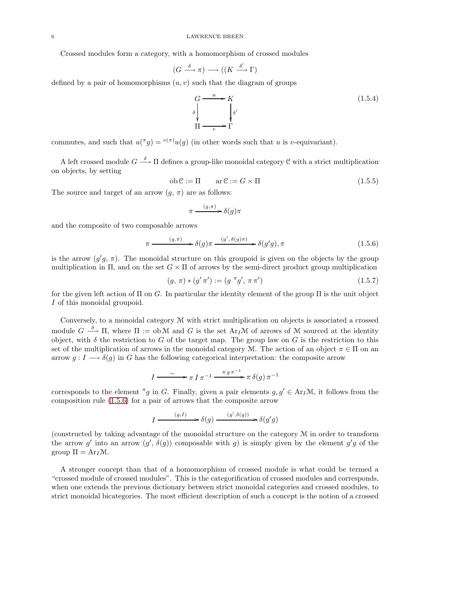#### 6 LAWRENCE BREEN

Crossed modules form a category, with a homomorphism of crossed modules

$$
(G \xrightarrow{\delta} \pi) \longrightarrow ((K \xrightarrow{\delta'} \Gamma)
$$

defined by a pair of homomorphisms  $(u, v)$  such that the diagram of groups

<span id="page-5-1"></span>
$$
G \xrightarrow{u} K
$$
  
\n
$$
\delta \downarrow_{\delta'} \qquad \qquad \downarrow \delta'
$$
  
\n
$$
\Pi \xrightarrow{v} \Gamma
$$
  
\n(1.5.4)

commutes, and such that  $u(\pi g) = v(\pi)u(g)$  (in other words such that u is v-equivariant).

A left crossed module  $G \stackrel{\delta}{\longrightarrow} \Pi$  defines a group-like monoidal category C with a strict multiplication on objects, by setting

$$
ob \mathcal{C} := \Pi \qquad \text{ar} \mathcal{C} := G \times \Pi \tag{1.5.5}
$$

The source and target of an arrow  $(g, \pi)$  are as follows:

$$
\pi \xrightarrow{\ (g,\pi)\ } \delta(g)\pi
$$

and the composite of two composable arrows

<span id="page-5-0"></span>
$$
\pi \xrightarrow{(g,\pi)} \delta(g)\pi \xrightarrow{(g',\delta(g)\pi)} \delta(g'g), \pi
$$
\n(1.5.6)

is the arrow  $(g'g, \pi)$ . The monoidal structure on this groupoid is given on the objects by the group multiplication in  $\Pi$ , and on the set  $G \times \Pi$  of arrows by the semi-direct product group multiplication

<span id="page-5-2"></span>
$$
(g, \pi) * (g' \pi') := (g \pi g', \pi \pi') \tag{1.5.7}
$$

for the given left action of  $\Pi$  on  $G$ . In particular the identity element of the group  $\Pi$  is the unit object I of this monoidal groupoid.

Conversely, to a monoidal category M with strict multiplication on objects is associated a crossed module  $G \stackrel{\delta}{\longrightarrow} \Pi$ , where  $\Pi := \text{ob } \mathcal{M}$  and  $G$  is the set  $\text{Ar}_I \mathcal{M}$  of arrows of  $\mathcal M$  sourced at the identity object, with  $\delta$  the restriction to G of the target map. The group law on G is the restriction to this set of the multiplication of arrows in the monoidal category M. The action of an object  $\pi \in \Pi$  on an arrow  $g: I \longrightarrow \delta(g)$  in G has the following categorical interpretation: the composite arrow

$$
I \xrightarrow{\sim} \pi I \pi^{-1} \xrightarrow{\pi g \pi^{-1}} \pi \delta(g) \pi^{-1}
$$

corresponds to the element <sup> $\pi$ </sup>g in G. Finally, given a pair elements  $g, g' \in \text{Ar}_I\mathcal{M}$ , it follows from the composition rule [\(1.5.6\)](#page-5-0) for a pair of arrows that the composite arrow

$$
I \xrightarrow{(g,I)} \delta(g) \xrightarrow{(g',\delta(g))} \delta(g'g)
$$

(constructed by taking advantage of the monoidal structure on the category  $M$  in order to transform the arrow g' into an arrow  $(g', \delta(g))$  composable with g) is simply given by the element  $g'g$  of the group  $\Pi = Ar_I \mathcal{M}$ .

A stronger concept than that of a homomorphism of crossed module is what could be termed a "crossed module of crossed modules". This is the categorification of crossed modules and corresponds, when one extends the previous dictionary between strict monoidal categories and crossed modules, to strict monoidal bicategories. The most efficient description of such a concept is the notion of a crossed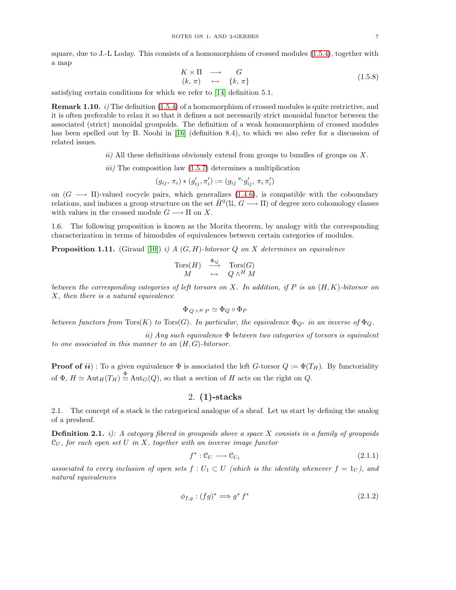<span id="page-6-3"></span>
$$
K \times \Pi \longrightarrow G
$$
  
\n
$$
(k, \pi) \longrightarrow \{k, \pi\}
$$
  
\n
$$
(1.5.8)
$$

<span id="page-6-4"></span>satisfying certain conditions for which we refer to [\[14\]](#page-32-1) definition 5.1.

Remark 1.10. *i)* The definition [\(1.5.4\)](#page-5-1) of a homomorphism of crossed modules is quite restrictive, and it is often preferable to relax it so that it defines a not necessarily strict monoidal functor between the associated (strict) monoidal groupoids. The definition of a weak homomorphism of crossed modules has been spelled out by B. Noohi in [\[16\]](#page-32-2) (definition 8.4), to which we also refer for a discussion of related issues.

*ii)* All these definitions obviously extend from groups to bundles of groups on X.

*iii)* The composition law [\(1.5.7\)](#page-5-2) determines a multiplication

$$
(g_{ij}, \pi_i) * (g'_{ij}, \pi'_i) := (g_{ij} \pi_i g'_{ij}, \pi_i \pi'_i)
$$

on  $(G \longrightarrow \Pi)$ -valued cocycle pairs, which generalizes [\(1.4.6\)](#page-4-0), is compatible with the coboundary relations, and induces a group structure on the set  $\check{H}^0(\mathfrak{U}, G \longrightarrow \Pi)$  of degree zero cohomology classes with values in the crossed module  $G \longrightarrow \Pi$  on X.

<span id="page-6-2"></span>1.6. The following proposition is known as the Morita theorem, by analogy with the corresponding characterization in terms of bimodules of equivalences between certain categories of modules.

Proposition 1.11. (Giraud [\[10\]](#page-32-3)) *i) A* (G, H)*-bitorsor* Q *on* X *determines an equivalence*

$$
\begin{array}{ccc}\n\operatorname{Tors}(H) & \xrightarrow{\Phi_Q} & \operatorname{Tors}(G) \\
M & \mapsto & Q \wedge^H M\n\end{array}
$$

*between the corresponding categories of left torsors on* X*. In addition, if* P *is an* (H, K)*-bitorsor on* X*, then there is a natural equivalence*

$$
\Phi_{\,Q\,\wedge^H\,P} \simeq \Phi_Q \circ \Phi_P
$$

*between functors from*  $Tors(K)$  *to*  $Tors(G)$ *. In particular, the equivalence*  $\Phi_{Q}$ *o in an inverse of*  $\Phi_{Q}$ *.* 

*ii) Any such equivalence* Φ *between two categories of torsors is equivalent to one associated in this manner to an* (H, G)*-bitorsor.*

**Proof of ii)**: To a given equivalence  $\Phi$  is associated the left G-torsor  $Q := \Phi(T_H)$ . By functoriality of  $\Phi$ ,  $H \simeq \text{Aut}_H(T_H) \stackrel{\Phi}{\simeq} \text{Aut}_G(Q)$ , so that a section of H acts on the right on Q.

# 2. (1)-stacks

2.1. The concept of a stack is the categorical analogue of a sheaf. Let us start by defining the analog of a presheaf.

Definition 2.1. *i): A category fibered in groupoids above a space* X *consists in a family of groupoids* C<sup>U</sup> *, for each open set* U *in* X*, together with an inverse image functor*

<span id="page-6-1"></span>
$$
f^* : \mathcal{C}_U \longrightarrow \mathcal{C}_{U_1} \tag{2.1.1}
$$

associated to every inclusion of open sets  $f: U_1 \subset U$  (which is the identity whenever  $f = 1_U$ ), and *natural equivalences*

<span id="page-6-0"></span>
$$
\phi_{f,g} : (fg)^* \Longrightarrow g^* f^* \tag{2.1.2}
$$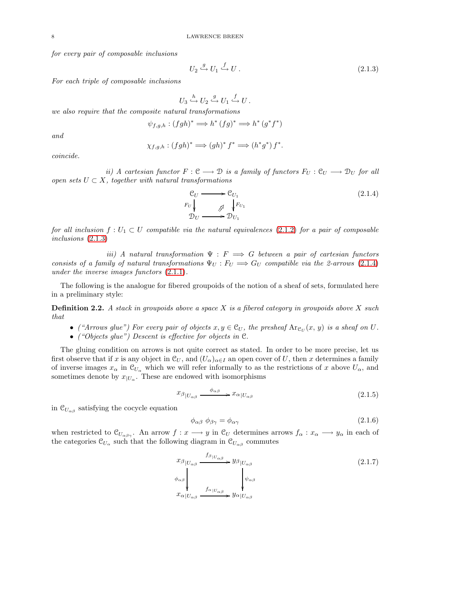*for every pair of composable inclusions*

<span id="page-7-0"></span>
$$
U_2 \stackrel{g}{\hookrightarrow} U_1 \stackrel{f}{\hookrightarrow} U. \tag{2.1.3}
$$

*For each triple of composable inclusions*

$$
U_3 \xrightarrow{h} U_2 \xrightarrow{g} U_1 \xrightarrow{f} U.
$$

*we also require that the composite natural transformations*

$$
\psi_{f,g,h} : (fgh)^* \Longrightarrow h^* (fg)^* \Longrightarrow h^* (g^*f^*)
$$

*and*

$$
\chi_{f,g,h}:(fgh)^*\Longrightarrow (gh)^*f^*\Longrightarrow (h^*g^*)f^*.
$$

*coincide.*

*ii)* A cartesian functor  $F: \mathcal{C} \longrightarrow \mathcal{D}$  *is a family of functors*  $F_U: \mathcal{C}_U \longrightarrow \mathcal{D}_U$  *for all open sets*  $U \subset X$ *, together with natural transformations* 

<span id="page-7-1"></span>
$$
\begin{array}{ccc}\n\mathcal{C}_U & \longrightarrow & \mathcal{C}_{U_1} \\
F_U & \nearrow & \downarrow^{F_{U_1}} \\
\mathcal{D}_U & \longrightarrow & \mathcal{D}_{U_1}\n\end{array} \tag{2.1.4}
$$

*for all inclusion*  $f: U_1 \subset U$  *compatible via the natural equivalences* [\(2.1.2\)](#page-6-0) *for a pair of composable inclusions* [\(2.1.3\)](#page-7-0)

*iii)* A natural transformation  $\Psi : F \implies G$  between a pair of cartesian functors *consists of a family of natural transformations*  $\Psi_U$ :  $F_U \implies G_U$  *compatible via the 2-arrows* [\(2.1.4\)](#page-7-1) *under the inverse images functors* [\(2.1.1\)](#page-6-1)*.*

The following is the analogue for fibered groupoids of the notion of a sheaf of sets, formulated here in a preliminary style:

Definition 2.2. *A stack in groupoids above a space* X *is a fibered category in groupoids above* X *such that*

- ("Arrows glue") For every pair of objects  $x, y \in C_U$ , the presheaf  $\text{Ar}_{C_U}(x, y)$  is a sheaf on U.
- *("Objects glue") Descent is effective for objects in* C*.*

The gluing condition on arrows is not quite correct as stated. In order to be more precise, let us first observe that if x is any object in  $\mathcal{C}_U$ , and  $(U_\alpha)_{\alpha \in I}$  an open cover of U, then x determines a family of inverse images  $x_\alpha$  in  $\mathcal{C}_{U_\alpha}$  which we will refer informally to as the restrictions of x above  $U_\alpha$ , and sometimes denote by  $x_{|U_{\alpha}}$ . These are endowed with isomorphisms

<span id="page-7-3"></span>
$$
x_{\beta|U_{\alpha\beta}} \xrightarrow{\phi_{\alpha\beta}} x_{\alpha|U_{\alpha\beta}} \tag{2.1.5}
$$

in  $\mathcal{C}_{U_{\alpha\beta}}$  satisfying the cocycle equation

<span id="page-7-4"></span>
$$
\phi_{\alpha\beta} \; \phi_{\beta\gamma} = \phi_{\alpha\gamma} \tag{2.1.6}
$$

when restricted to  $\mathcal{C}_{U_{\alpha\beta\gamma}}$ . An arrow  $f: x \longrightarrow y$  in  $\mathcal{C}_U$  determines arrows  $f_\alpha: x_\alpha \longrightarrow y_\alpha$  in each of the categories  $\mathcal{C}_{U_{\alpha}}$  such that the following diagram in  $\mathcal{C}_{U_{\alpha\beta}}$  commutes

<span id="page-7-2"></span>
$$
x_{\beta|U_{\alpha\beta}} \xrightarrow{f_{\beta|U_{\alpha\beta}}} y_{\beta|U_{\alpha\beta}} \qquad (2.1.7)
$$
  
\n
$$
\phi_{\alpha\beta} \downarrow \qquad \downarrow \qquad \downarrow \psi_{\alpha\beta}
$$
  
\n
$$
x_{\alpha|U_{\alpha\beta}} \xrightarrow{f_{\alpha|U_{\alpha\beta}}} y_{\alpha|U_{\alpha\beta}}
$$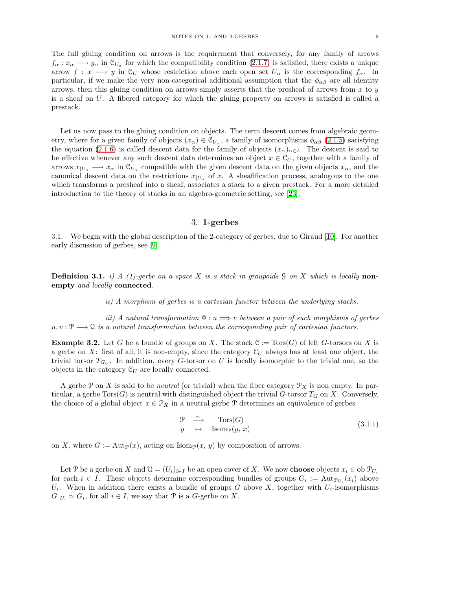The full gluing condition on arrows is the requirement that conversely, for any family of arrows  $f_{\alpha}: x_{\alpha} \longrightarrow y_{\alpha}$  in  $\mathcal{C}_{U_{\alpha}}$  for which the compatibility condition [\(2.1.7\)](#page-7-2) is satisfied, there exists a unique arrow  $f: x \longrightarrow y$  in  $\mathcal{C}_U$  whose restriction above each open set  $U_\alpha$  is the corresponding  $f_\alpha$ . In particular, if we make the very non-categorical additional assumption that the  $\phi_{\alpha\beta}$  are all identity arrows, then this gluing condition on arrows simply asserts that the presheaf of arrows from  $x$  to  $y$ is a sheaf on U. A fibered category for which the gluing property on arrows is satisfied is called a

prestack.

Let us now pass to the gluing condition on objects. The term descent comes from algebraic geometry, where for a given family of objects  $(x_\alpha) \in C_{U_\alpha}$ , a family of isomorphisms  $\phi_{\alpha\beta}$  [\(2.1.5\)](#page-7-3) satisfying the equation [\(2.1.6\)](#page-7-4) is called descent data for the family of objects  $(x_{\alpha})_{\alpha \in I}$ . The descent is said to be effective whenever any such descent data determines an object  $x \in \mathcal{C}_U$ , together with a family of arrows  $x_{|U_{\alpha}} \longrightarrow x_{\alpha}$  in  $\mathcal{C}_{U_{\alpha}}$  compatible with the given descent data on the given objects  $x_{\alpha}$ , and the canonical descent data on the restrictions  $x_{|U_{\alpha}}$  of x. A sheafification process, analogous to the one which transforms a presheaf into a sheaf, associates a stack to a given prestack. For a more detailed introduction to the theory of stacks in an algebro-geometric setting, see [\[23\]](#page-32-4).

## 3. 1-gerbes

3.1. We begin with the global description of the 2-category of gerbes, due to Giraud [\[10\]](#page-32-3). For another early discussion of gerbes, see [\[9\]](#page-32-5).

Definition 3.1. *i) A (1)-gerbe on a space* X *is a stack in groupoids* G *on* X *which is locally* nonempty *and locally* connected*.*

*ii) A morphism of gerbes is a cartesian functor between the underlying stacks.*

*iii)* A natural transformation  $\Phi: u \Longrightarrow v$  between a pair of such morphisms of gerbes  $u, v: \mathcal{P} \longrightarrow \mathcal{Q}$  *is a natural transformation between the corresponding pair of cartesian functors.* 

**Example 3.2.** Let G be a bundle of groups on X. The stack  $\mathcal{C} := \text{Tors}(G)$  of left G-torsors on X is a gerbe on X: first of all, it is non-empty, since the category  $\mathcal{C}_U$  always has at least one object, the trivial torsor  $T_{G_U}$ . In addition, every G-torsor on U is locally isomorphic to the trivial one, so the objects in the category  $\mathcal{C}_U$  are locally connected.

A gerbe P on X is said to be *neutral* (or trivial) when the fiber category  $\mathcal{P}_X$  is non empty. In particular, a gerbe  $T(s)$  is neutral with distinguished object the trivial G-torsor  $T<sub>G</sub>$  on X. Conversely, the choice of a global object  $x \in \mathcal{P}_X$  in a neutral gerbe P determines an equivalence of gerbes

<span id="page-8-0"></span>
$$
\begin{array}{ccc}\n\mathcal{P} & \stackrel{\sim}{\longrightarrow} & \text{Tors}(G) \\
y & \mapsto & \text{Isom}_{\mathcal{P}}(y, x)\n\end{array} \tag{3.1.1}
$$

on X, where  $G := \text{Aut}_{\mathcal{P}}(x)$ , acting on  $\text{Isom}_{\mathcal{P}}(x, y)$  by composition of arrows.

Let P be a gerbe on X and  $\mathcal{U} = (U_i)_{i \in I}$  be an open cover of X. We now **choose** objects  $x_i \in \text{ob } \mathcal{V}_{U_i}$ for each  $i \in I$ . These objects determine corresponding bundles of groups  $G_i := \text{Aut}_{\mathcal{P}_{U_i}}(x_i)$  above  $U_i$ . When in addition there exists a bundle of groups G above X, together with  $U_i$ -isomorphisms  $G_{| U_i} \simeq G_i$ , for all  $i \in I$ , we say that  $\mathcal P$  is a G-gerbe on X.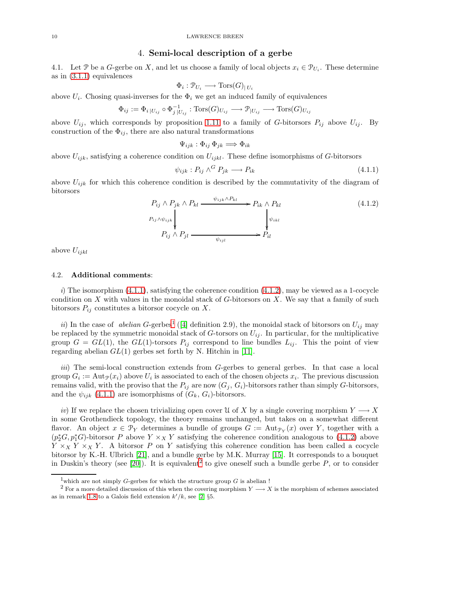## 4. Semi-local description of a gerbe

<span id="page-9-4"></span>4.1. Let P be a G-gerbe on X, and let us choose a family of local objects  $x_i \in \mathcal{P}_{U_i}$ . These determine as in [\(3.1.1\)](#page-8-0) equivalences

$$
\Phi_i : \mathcal{P}_{U_i} \longrightarrow \text{Tors}(G)_{|U_i}
$$

above  $U_i$ . Chosing quasi-inverses for the  $\Phi_i$  we get an induced family of equivalences

$$
\Phi_{ij} := \Phi_{i|U_{ij}} \circ \Phi_{j|U_{ij}}^{-1} : \text{Tors}(G)_{U_{ij}} \longrightarrow \mathcal{P}_{|U_{ij}} \longrightarrow \text{Tors}(G)_{U_{ij}}
$$

above  $U_{ij}$ , which corresponds by proposition [1.11](#page-6-2) to a family of G-bitorsors  $P_{ij}$  above  $U_{ij}$ . By construction of the  $\Phi_{ij}$ , there are also natural transformations

$$
\Psi_{ijk} : \Phi_{ij} \, \Phi_{jk} \Longrightarrow \Phi_{ik}
$$

above  $U_{ijk}$ , satisfying a coherence condition on  $U_{ijkl}$ . These define isomorphisms of G-bitorsors

<span id="page-9-0"></span>
$$
\psi_{ijk} : P_{ij} \wedge^G P_{jk} \longrightarrow P_{ik} \tag{4.1.1}
$$

above  $U_{ijk}$  for which this coherence condition is described by the commutativity of the diagram of bitorsors

<span id="page-9-1"></span>
$$
P_{ij} \wedge P_{jk} \wedge P_{kl} \xrightarrow{\psi_{ijk} \wedge P_{kl}} P_{ik} \wedge P_{kl}
$$
\n
$$
P_{ij} \wedge \psi_{ijk} \downarrow \qquad \qquad \downarrow \qquad \qquad \downarrow \qquad \qquad \downarrow \qquad \downarrow
$$
\n
$$
P_{ij} \wedge P_{jl} \xrightarrow{\psi_{ijl}} P_{il}
$$
\n
$$
(4.1.2)
$$

above  $U_{ijkl}$ 

## 4.2. Additional comments:

 $i)$  The isomorphism  $(4.1.1)$ , satisfying the coherence condition  $(4.1.2)$ , may be viewed as a 1-cocycle condition on  $X$  with values in the monoidal stack of  $G$ -bitorsors on  $X$ . We say that a family of such bitorsors  $P_{ij}$  constitutes a bitorsor cocycle on X.

*ii*) In the case of *abelian* G-gerbes<sup>[1](#page-9-2)</sup> ([\[4\]](#page-31-1) definition 2.9), the monoidal stack of bitorsors on  $U_{ij}$  may be replaced by the symmetric monoidal stack of G-torsors on  $U_{ij}$ . In particular, for the multiplicative group  $G = GL(1)$ , the  $GL(1)$ -torsors  $P_{ij}$  correspond to line bundles  $L_{ij}$ . This the point of view regarding abelian  $GL(1)$  gerbes set forth by N. Hitchin in [\[11\]](#page-32-6).

*iii*) The semi-local construction extends from G-gerbes to general gerbes. In that case a local group  $G_i := \text{Aut}_{\mathcal{P}}(x_i)$  above  $U_i$  is associated to each of the chosen objects  $x_i$ . The previous discussion remains valid, with the proviso that the  $P_{ij}$  are now  $(G_j, G_i)$ -bitorsors rather than simply G-bitorsors, and the  $\psi_{ijk}$  [\(4.1.1\)](#page-9-0) are isomorphisms of  $(G_k, G_i)$ -bitorsors.

*iv*) If we replace the chosen trivializing open cover U of X by a single covering morphism  $Y \longrightarrow X$ in some Grothendieck topology, the theory remains unchanged, but takes on a somewhat different flavor. An object  $x \in \mathcal{P}_Y$  determines a bundle of groups  $G := \text{Aut}_{\mathcal{P}_Y}(x)$  over Y, together with a  $(p_2^*G, p_1^*G)$ -bitorsor P above  $Y \times_X Y$  satisfying the coherence condition analogous to [\(4.1.2\)](#page-9-1) above  $Y \times_X Y \times_X Y$ . A bitorsor P on Y satisfying this coherence condition has been called a cocycle bitorsor by K.-H. Ulbrich [\[21\]](#page-32-7), and a bundle gerbe by M.K. Murray [\[15\]](#page-32-8). It corresponds to a bouquet in Duskin's theory (see [\[20\]](#page-32-9)). It is equivalent<sup>[2](#page-9-3)</sup> to give oneself such a bundle gerbe  $P$ , or to consider

<span id="page-9-2"></span> $^1\!$  which are not simply  $G\!$  -gerbes for which the structure group  $G$  is abelian !

<span id="page-9-3"></span><sup>&</sup>lt;sup>2</sup> For a more detailed discussion of this when the covering morphism  $Y \rightarrow X$  is the morphism of schemes associated as in remark [1.8](#page-4-1) to a Galois field extension  $k'/k$ , see [\[2\]](#page-31-3) §5.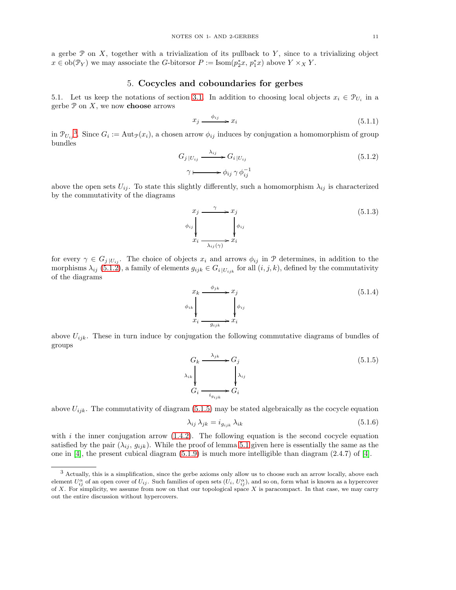a gerbe  $\mathcal P$  on X, together with a trivialization of its pullback to Y, since to a trivializing object  $x \in ob(\mathcal{P}_Y)$  we may associate the G-bitorsor  $P := \text{Isom}(p_2^*x, p_1^*x)$  above  $Y \times_X Y$ .

# 5. Cocycles and coboundaries for gerbes

5.1. Let us keep the notations of section [3.1.](#page-9-4) In addition to choosing local objects  $x_i \in \mathcal{P}_{U_i}$  in a gerbe  $\mathcal P$  on  $X$ , we now **choose** arrows

<span id="page-10-7"></span>
$$
x_j \xrightarrow{\phi_{ij}} x_i \tag{5.1.1}
$$

in  $\mathcal{P}_{U_{ij}}^3$  $\mathcal{P}_{U_{ij}}^3$ . Since  $G_i := \text{Aut}_{\mathcal{P}}(x_i)$ , a chosen arrow  $\phi_{ij}$  induces by conjugation a homomorphism of group bundles

<span id="page-10-1"></span>
$$
G_j|_{U_{ij}} \xrightarrow{\lambda_{ij}} G_i|_{U_{ij}}
$$
  
\n
$$
\gamma \longmapsto \phi_{ij} \gamma \phi_{ij}^{-1}
$$
\n(5.1.2)

above the open sets  $U_{ij}$ . To state this slightly differently, such a homomorphism  $\lambda_{ij}$  is characterized by the commutativity of the diagrams

<span id="page-10-5"></span>
$$
\begin{aligned}\nx_j &\xrightarrow{\gamma} x_j \\
\phi_{ij} &\downarrow_{ij} \\
x_i &\xrightarrow{\lambda_{ij}(\gamma)} x_i\n\end{aligned} \n\tag{5.1.3}
$$

for every  $\gamma \in G_j |_{U_{ij}}$ . The choice of objects  $x_i$  and arrows  $\phi_{ij}$  in  $\mathcal P$  determines, in addition to the morphisms  $\lambda_{ij}$  [\(5.1.2\)](#page-10-1), a family of elements  $g_{ijk} \in G_i|_{U_{ijk}}$  for all  $(i, j, k)$ , defined by the commutativity of the diagrams

<span id="page-10-4"></span>
$$
x_k \xrightarrow{\phi_{jk}} x_j
$$
  
\n
$$
\phi_{ik} \downarrow \qquad \qquad \phi_{ij}
$$
  
\n
$$
x_i \xrightarrow{g_{ijk}} x_i
$$
  
\n(5.1.4)

above  $U_{ijk}$ . These in turn induce by conjugation the following commutative diagrams of bundles of groups

<span id="page-10-2"></span>
$$
G_k \xrightarrow{\lambda_{jk}} G_j
$$
  
\n
$$
\lambda_{ik} \downarrow \qquad \qquad \lambda_{ij}
$$
  
\n
$$
G_i \xrightarrow{i_{g_{ijk}}} G_i
$$
  
\n
$$
(5.1.5)
$$

above  $U_{ijk}$ . The commutativity of diagram [\(5.1.5\)](#page-10-2) may be stated algebraically as the cocycle equation

<span id="page-10-6"></span>
$$
\lambda_{ij} \lambda_{jk} = i_{g_{ijk}} \lambda_{ik} \tag{5.1.6}
$$

with  $i$  the inner conjugation arrow  $(1.4.2)$ . The following equation is the second cocycle equation satisfied by the pair  $(\lambda_{ij}, g_{ijk})$ . While the proof of lemma [5.1](#page-10-3) given here is essentially the same as the one in  $[4]$ , the present cubical diagram  $(5.1.9)$  is much more intelligible than diagram  $(2.4.7)$  of  $[4]$ .

<span id="page-10-3"></span><span id="page-10-0"></span><sup>3</sup> Actually, this is a simplification, since the gerbe axioms only allow us to choose such an arrow locally, above each element  $U_{ij}^{\alpha}$  of an open cover of  $U_{ij}$ . Such families of open sets  $(U_i, U_{ij}^{\alpha})$ , and so on, form what is known as a hypercover of X. For simplicity, we assume from now on that our topological space X is paracompact. In that case, we may carry out the entire discussion without hypercovers.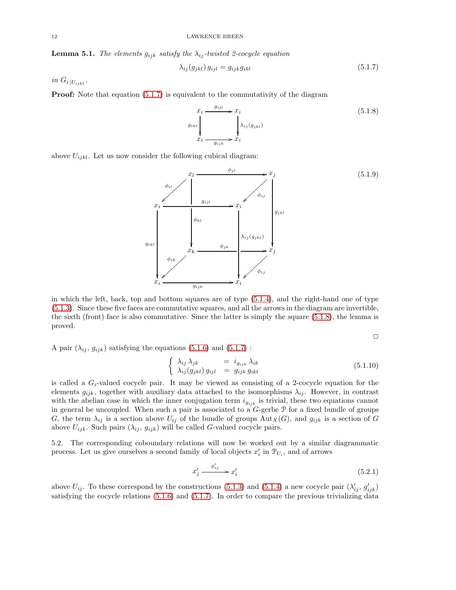**Lemma 5.1.** *The elements*  $g_{ijk}$  *satisfy the*  $\lambda_{ij}$ -twisted 2-cocycle equation

<span id="page-11-1"></span>
$$
\lambda_{ij}(g_{jkl})\,g_{ijl} = g_{ijk}g_{ikl} \tag{5.1.7}
$$

 $in G_i|_{U_{ijkl}}$ .

**Proof:** Note that equation  $(5.1.7)$  is equivalent to the commutativity of the diagram

<span id="page-11-2"></span>
$$
x_i \xrightarrow{g_{ijl}} x_i
$$
\n
$$
g_{ikl} \downarrow \qquad \qquad \downarrow \lambda_{ij}(g_{jkl})
$$
\n
$$
x_i \xrightarrow{g_{ijk}} x_i
$$
\n
$$
(5.1.8)
$$

above  $U_{ijkl}$ . Let us now consider the following cubical diagram:

<span id="page-11-0"></span>

in which the left, back, top and bottom squares are of type [\(5.1.4\)](#page-10-4), and the right-hand one of type [\(5.1.3\)](#page-10-5). Since these five faces are commutative squares, and all the arrows in the diagram are invertible, the sixth (front) face is also commutative. Since the latter is simply the square [\(5.1.8\)](#page-11-2), the lemma is proved.

 $\Box$ 

A pair  $(\lambda_{ij}, g_{ijk})$  satisfying the equations [\(5.1.6\)](#page-10-6) and [\(5.1.7\)](#page-11-1) :

<span id="page-11-4"></span>
$$
\begin{cases}\n\lambda_{ij} \lambda_{jk} = i_{g_{ijk}} \lambda_{ik} \\
\lambda_{ij} (g_{jkl}) g_{ijl} = g_{ijk} g_{ikl}\n\end{cases}
$$
\n(5.1.10)

is called a  $G_i$ -valued cocycle pair. It may be viewed as consisting of a 2-cocycle equation for the elements  $g_{ijk}$ , together with auxiliary data attached to the isomorphisms  $\lambda_{ij}$ . However, in contrast with the abelian case in which the inner conjugation term  $i_{g_{ijk}}$  is trivial, these two equations cannot in general be uncoupled. When such a pair is associated to a  $G$ -gerbe  $\mathcal P$  for a fixed bundle of groups G, the term  $\lambda_{ij}$  is a section above  $U_{ij}$  of the bundle of groups  ${\rm Aut}_X(G)$ , and  $g_{ijk}$  is a section of G above  $U_{ijk}$ . Such pairs  $(\lambda_{ij}, g_{ijk})$  will be called G-valued cocycle pairs.

5.2. The corresponding coboundary relations will now be worked out by a similar diagrammatic process. Let us give ourselves a second family of local objects  $x_i'$  in  $\mathcal{P}_{U_i}$ , and of arrows

<span id="page-11-3"></span>
$$
x_j' \xrightarrow{\phi_{ij}'} x_i' \tag{5.2.1}
$$

above  $U_{ij}$ . To these correspond by the constructions [\(5.1.3\)](#page-10-5) and [\(5.1.4\)](#page-10-4) a new cocycle pair  $(\lambda'_{ij}, g'_{ijk})$ satisfying the cocycle relations  $(5.1.6)$  and  $(5.1.7)$ . In order to compare the previous trivializing data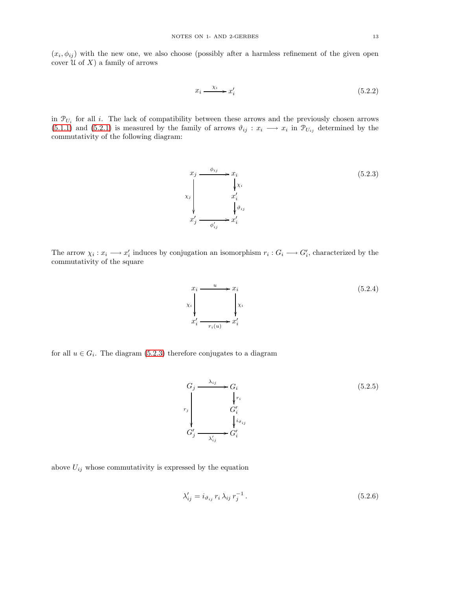$(x_i, \phi_{ij})$  with the new one, we also choose (possibly after a harmless refinement of the given open cover  $\mathcal U$  of  $X$ ) a family of arrows

<span id="page-12-2"></span>
$$
x_i \xrightarrow{\chi_i} x'_i \tag{5.2.2}
$$

in  $\mathcal{P}_{U_i}$  for all i. The lack of compatibility between these arrows and the previously chosen arrows [\(5.1.1\)](#page-10-7) and [\(5.2.1\)](#page-11-3) is measured by the family of arrows  $\vartheta_{ij} : x_i \longrightarrow x_i$  in  $\mathcal{P}_{U_{ij}}$  determined by the commutativity of the following diagram:

The arrow  $\chi_i: x_i \longrightarrow x'_i$  induces by conjugation an isomorphism  $r_i: G_i \longrightarrow G'_i$ , characterized by the commutativity of the square

 $\sqrt{a^{\prime}}$ 

 $r_i(u)$ 

 $\frac{u}{\rightarrow}x_i$ 

χ<sup>i</sup> ľ

 $\boldsymbol{x}$ i

<span id="page-12-1"></span> $x_i$ 

χ<sup>i</sup>  $\mathbf{r}$ 

 $\boldsymbol{x}$ 

i

above  $U_{ij}$  whose commutativity is expressed by the equation

$$
\lambda'_{ij} = i_{\vartheta_{ij}} r_i \lambda_{ij} r_j^{-1}.
$$
\n(5.2.6)



<span id="page-12-0"></span>

(5.2.4)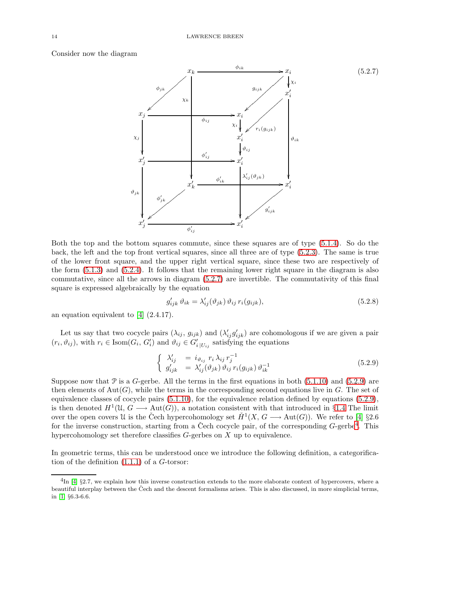Consider now the diagram

<span id="page-13-0"></span>

Both the top and the bottom squares commute, since these squares are of type [\(5.1.4\)](#page-10-4). So do the back, the left and the top front vertical squares, since all three are of type [\(5.2.3\)](#page-12-0). The same is true of the lower front square, and the upper right vertical square, since these two are respectively of the form [\(5.1.3\)](#page-10-5) and [\(5.2.4\)](#page-12-1). It follows that the remaining lower right square in the diagram is also commutative, since all the arrows in diagram [\(5.2.7\)](#page-13-0) are invertible. The commutativity of this final square is expressed algebraically by the equation

$$
g'_{ijk} \,\vartheta_{ik} = \lambda'_{ij}(\vartheta_{jk}) \,\vartheta_{ij} \, r_i(g_{ijk}),\tag{5.2.8}
$$

an equation equivalent to [\[4\]](#page-31-1) (2.4.17).

Let us say that two cocycle pairs  $(\lambda_{ij}, g_{ijk})$  and  $(\lambda'_{ij} g'_{ijk})$  are cohomologous if we are given a pair  $(r_i, \vartheta_{ij})$ , with  $r_i \in \text{Isom}(G_i, G'_i)$  and  $\vartheta_{ij} \in G'_{i|U_{ij}}$  satisfying the equations

<span id="page-13-1"></span>
$$
\begin{cases}\n\lambda'_{ij} &= i_{\vartheta_{ij}} r_i \lambda_{ij} r_j^{-1} \\
g'_{ijk} &= \lambda'_{ij}(\vartheta_{jk}) \vartheta_{ij} r_i(g_{ijk}) \vartheta_{ik}^{-1}\n\end{cases}
$$
\n(5.2.9)

Suppose now that  $\mathcal P$  is a  $G$ -gerbe. All the terms in the first equations in both  $(5.1.10)$  and  $(5.2.9)$  are then elements of  $Aut(G)$ , while the terms in the corresponding second equations live in G. The set of equivalence classes of cocycle pairs  $(5.1.10)$ , for the equivalence relation defined by equations  $(5.2.9)$ , is then denoted  $H^1(\mathfrak{U}, G \longrightarrow \text{Aut}(G))$ , a notation consistent with that introduced in §[1.4](#page-3-6) The limit over the open covers U is the Čech hypercohomology set  $\check{H}^1(X, G \longrightarrow \text{Aut}(G))$ . We refer to [\[4\]](#page-31-1) §2.6 for the inverse construction, starting from a Čech cocycle pair, of the corresponding  $G$ -gerbe<sup>[4](#page-13-2)</sup>. This hypercohomology set therefore classifies  $G$ -gerbes on  $X$  up to equivalence.

In geometric terms, this can be understood once we introduce the following definition, a categorification of the definition  $(1.1.1)$  of a  $G$ -torsor:

<span id="page-13-2"></span> $^{4}$ In [\[4\]](#page-31-1) §2.7, we explain how this inverse construction extends to the more elaborate context of hypercovers, where a beautiful interplay between the Čech and the descent formalisms arises. This is also discussed, in more simplicial terms, in [\[1\]](#page-31-0) §6.3-6.6.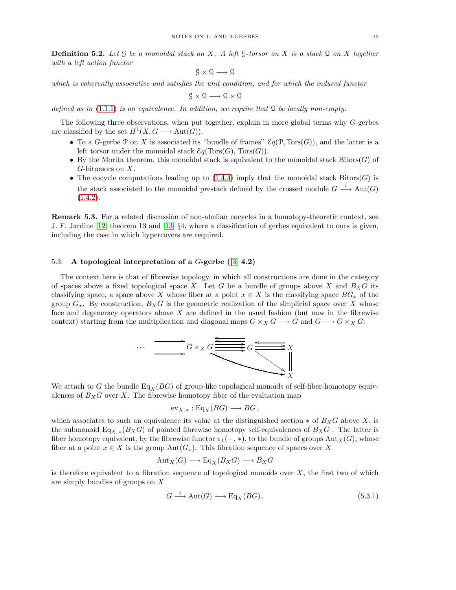Definition 5.2. *Let* G *be a monoidal stack on* X*. A left* G*-torsor on* X *is a stack* Q *on* X *together with a left action functor*

$$
\mathcal{G}\times\mathcal{Q}\longrightarrow\mathcal{Q}
$$

*which is coherently associative and satisfies the unit condition, and for which the induced functor*

$$
\mathcal{G}\times\mathcal{Q}\longrightarrow\mathcal{Q}\times\mathcal{Q}
$$

*defined as in* [\(1.1.1\)](#page-1-4) *is an equivalence. In addition, we require that* Q *be locally non-empty.*

The following three observations, when put together, explain in more global terms why G-gerbes are classified by the set  $H^1(X, G \longrightarrow Aut(G)).$ 

- To a G-gerbe P on X is associated its "bundle of frames"  $\mathcal{E}q(\mathcal{P}, Tors(G))$ , and the latter is a left torsor under the monoidal stack  $\mathcal{E}q(\text{Tors}(G), \text{Tors}(G)).$
- By the Morita theorem, this monoidal stack is equivalent to the monoidal stack  $Bitors(G)$  of  $G$ -bitorsors on  $X$ .
- The cocycle computations leading up to  $(1.4.4)$  imply that the monoidal stack Bitors( $G$ ) is the stack associated to the monoidal prestack defined by the crossed module  $G \stackrel{i}{\longrightarrow} Aut(G)$  $(1.4.2).$  $(1.4.2).$

Remark 5.3. For a related discussion of non-abelian cocycles in a homotopy-theoretic context, see J. F. Jardine [\[12\]](#page-32-10) theorem 13 and [\[13\]](#page-32-11) §4, where a classification of gerbes equivalent to ours is given, including the case in which hypercovers are required.

#### 5.3. A topological interpretation of a  $G$ -gerbe ([\[3\]](#page-31-4)  $4.2$ )

The context here is that of fibrewise topology, in which all constructions are done in the category of spaces above a fixed topological space X. Let G be a bundle of groups above X and  $B_XG$  its classifying space, a space above X whose fiber at a point  $x \in X$  is the classifying space  $BG_x$  of the group  $G_x$ . By construction,  $B_xG$  is the geometric realization of the simplicial space over X whose face and degeneracy operators above  $X$  are defined in the usual fashion (but now in the fibrewise context) starting from the multiplication and diagonal maps  $G \times_X G \longrightarrow G$  and  $G \longrightarrow G \times_X G$ :



We attach to G the bundle Eq<sub>X</sub> (BG) of group-like topological monoids of self-fiber-homotopy equivalences of  $B_XG$  over X. The fibrewise homotopy fiber of the evaluation map

$$
\mathrm{ev}_{X,*}: \mathrm{Eq}_X(BG) \longrightarrow BG,
$$

which associates to such an equivalence its value at the distinguished section  $*$  of  $B_XG$  above X, is the submonoid  $Eq_{X,*}(B_XG)$  of pointed fibrewise homotopy self-equivalences of  $B_XG$ . The latter is fiber homotopy equivalent, by the fibrewise functor  $\pi_1(-, *),$  to the bundle of groups Aut $_X(G)$ , whose fiber at a point  $x \in X$  is the group  $Aut(G_x)$ . This fibration sequence of spaces over X

$$
Aut_X(G) \longrightarrow Eq_X(B_XG) \longrightarrow B_XG
$$

is therefore equivalent to a fibration sequence of topological monoids over  $X$ , the first two of which are simply bundles of groups on X

$$
G \xrightarrow{i} \text{Aut}(G) \longrightarrow \text{Eq}_X(BG). \tag{5.3.1}
$$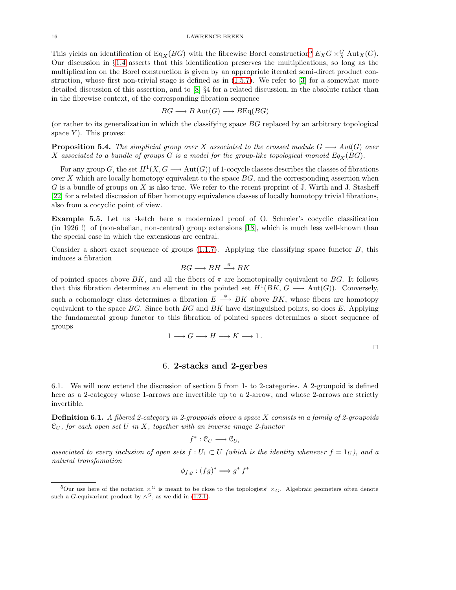This yields an identification of Eq<sub>X</sub>(BG) with the fibrewise Borel construction<sup>[5](#page-15-0)</sup>  $E_X G \times_X^G \text{Aut}_X(G)$ . Our discussion in §[1.4](#page-3-6) asserts that this identification preserves the multiplications, so long as the multiplication on the Borel construction is given by an appropriate iterated semi-direct product construction, whose first non-trivial stage is defined as in [\(1.5.7\)](#page-5-2). We refer to [\[3\]](#page-31-4) for a somewhat more detailed discussion of this assertion, and to [\[8\]](#page-31-5) §4 for a related discussion, in the absolute rather than in the fibrewise context, of the corresponding fibration sequence

$$
BG \longrightarrow B \text{ Aut}(G) \longrightarrow BEq(BG)
$$

(or rather to its generalization in which the classifying space BG replaced by an arbitrary topological space  $Y$ ). This proves:

**Proposition 5.4.** *The simplicial group over* X *associated to the crossed module*  $G \longrightarrow Aut(G)$  *over* X associated to a bundle of groups G is a model for the group-like topological monoid  $Eq_X(BG)$ .

For any group G, the set  $H^1(X, G \longrightarrow \text{Aut}(G))$  of 1-cocycle classes describes the classes of fibrations over X which are locally homotopy equivalent to the space  $BG$ , and the corresponding assertion when G is a bundle of groups on X is also true. We refer to the recent preprint of J. Wirth and J. Stasheff [\[22\]](#page-32-12) for a related discussion of fiber homotopy equivalence classes of locally homotopy trivial fibrations, also from a cocyclic point of view.

Example 5.5. Let us sketch here a modernized proof of O. Schreier's cocyclic classification (in 1926 !) of (non-abelian, non-central) group extensions [\[18\]](#page-32-13), which is much less well-known than the special case in which the extensions are central.

Consider a short exact sequence of groups  $(1.1.7)$ . Applying the classifying space functor  $B$ , this induces a fibration

$$
BG \longrightarrow BH \xrightarrow{\pi} BK
$$

of pointed spaces above BK, and all the fibers of  $\pi$  are homotopically equivalent to BG. It follows that this fibration determines an element in the pointed set  $H^1(BK, G \longrightarrow Aut(G))$ . Conversely, such a cohomology class determines a fibration  $E \stackrel{\phi}{\longrightarrow} BK$  above  $BK$ , whose fibers are homotopy equivalent to the space  $BG$ . Since both  $BG$  and  $BK$  have distinguished points, so does  $E$ . Applying the fundamental group functor to this fibration of pointed spaces determines a short sequence of groups

$$
1 \longrightarrow G \longrightarrow H \longrightarrow K \longrightarrow 1.
$$

 $\Box$ 

## 6. 2-stacks and 2-gerbes

6.1. We will now extend the discussion of section 5 from 1- to 2-categories. A 2-groupoid is defined here as a 2-category whose 1-arrows are invertible up to a 2-arrow, and whose 2-arrows are strictly invertible.

Definition 6.1. *A fibered 2-category in 2-groupoids above a space* X *consists in a family of 2-groupoids* C<sup>U</sup> *, for each open set* U *in* X*, together with an inverse image 2-functor*

$$
f^*:\mathfrak{C}_U\longrightarrow\mathfrak{C}_{U_1}
$$

associated to every inclusion of open sets  $f: U_1 \subset U$  (which is the identity whenever  $f = 1_U$ ), and a *natural transfomation*

$$
\phi_{f,g}: (fg)^* \Longrightarrow g^* f^*
$$

<span id="page-15-0"></span><sup>&</sup>lt;sup>5</sup>Our use here of the notation  $\times$ <sup>G</sup> is meant to be close to the topologists'  $\times$ <sub>G</sub>. Algebraic geometers often denote such a G-equivariant product by  $\wedge^G$ , as we did in [\(1.2.1\)](#page-2-0).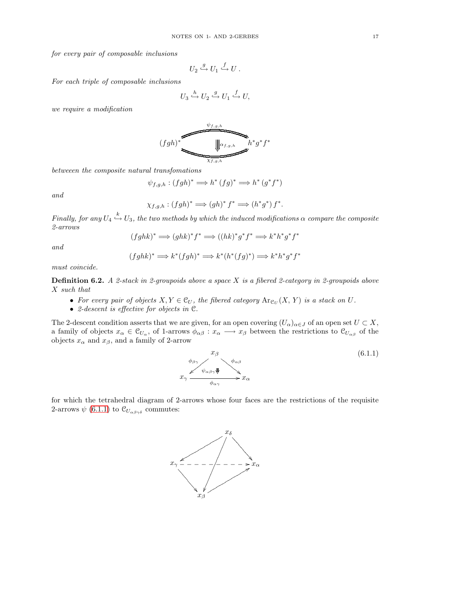*for every pair of composable inclusions*

$$
U_2 \stackrel{g}{\hookrightarrow} U_1 \stackrel{f}{\hookrightarrow} U .
$$

*For each triple of composable inclusions*

$$
U_3 \xrightarrow{h} U_2 \xrightarrow{g} U_1 \xrightarrow{f} U,
$$

*we require a modification*

$$
(fgh)^*\left(\frac{\psi_{f,g,h}}{\sqrt{\frac{\log_{f,g,h}}{\chi_{f,g,h}}}}\right)^{h^*g^*f^*}
$$

*betweeen the composite natural transfomations*

$$
\psi_{f,g,h} : (fgh)^* \Longrightarrow h^* (fg)^* \Longrightarrow h^* (g^*f^*)
$$

*and*

$$
\chi_{f,g,h}: (fgh)^* \Longrightarrow (gh)^* f^* \Longrightarrow (h^*g^*) f^*.
$$

*Finally, for any*  $U_4 \overset{k}{\hookrightarrow} U_3$ , the two methods by which the induced modifications  $\alpha$  compare the composite *2-arrows*

$$
(fghk)^* \Longrightarrow (ghk)^*f^* \Longrightarrow ((hk)^*g^*f^* \Longrightarrow k^*h^*g^*f^*
$$

*and*

$$
(fghk)^* \Longrightarrow k^*(fgh)^* \Longrightarrow k^*(h^*(fg)^*) \Longrightarrow k^*h^*g^*f^*
$$

*must coincide.*

Definition 6.2. *A 2-stack in 2-groupoids above a space* X *is a fibered 2-category in 2-groupoids above* X *such that*

- For every pair of objects  $X, Y \in \mathcal{C}_U$ , the fibered category  $\text{Ar}_{\mathcal{C}_U}(X, Y)$  is a stack on U.
- *2-descent is effective for objects in* C*.*

The 2-descent condition asserts that we are given, for an open covering  $(U_{\alpha})_{\alpha\in J}$  of an open set  $U\subset X$ , a family of objects  $x_{\alpha} \in C_{U_{\alpha}}$ , of 1-arrows  $\phi_{\alpha\beta}: x_{\alpha} \longrightarrow x_{\beta}$  between the restrictions to  $C_{U_{\alpha\beta}}$  of the objects  $x_{\alpha}$  and  $x_{\beta}$ , and a family of 2-arrow

<span id="page-16-0"></span>
$$
x_{\beta} \n\psi_{\alpha\beta\gamma} \psi_{\alpha\beta\gamma} \psi_{\alpha\beta} \n x_{\gamma} \psi_{\alpha\beta\gamma} \psi_{\alpha\gamma} \psi_{\alpha\gamma}
$$
\n(6.1.1)

for which the tetrahedral diagram of 2-arrows whose four faces are the restrictions of the requisite 2-arrows  $\psi$  [\(6.1.1\)](#page-16-0) to  $\mathcal{C}_{U_{\alpha\beta\gamma\delta}}$  commutes:

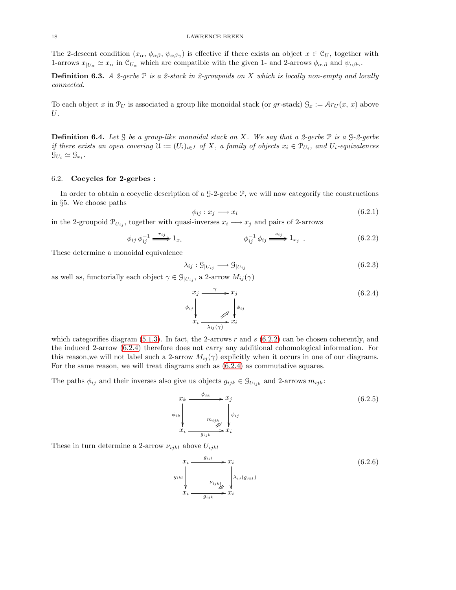The 2-descent condition  $(x_{\alpha}, \phi_{\alpha\beta}, \psi_{\alpha\beta\gamma})$  is effective if there exists an object  $x \in \mathcal{C}_U$ , together with 1-arrows  $x_{|U_{\alpha}} \simeq x_{\alpha}$  in  $\mathcal{C}_{U_{\alpha}}$  which are compatible with the given 1- and 2-arrows  $\phi_{\alpha,\beta}$  and  $\psi_{\alpha\beta\gamma}$ .

Definition 6.3. *A 2-gerbe* P *is a 2-stack in 2-groupoids on* X *which is locally non-empty and locally connected.*

To each object x in  $\mathcal{P}_U$  is associated a group like monoidal stack (or gr-stack)  $\mathcal{G}_x := \mathcal{A}r_U(x, x)$  above U.

Definition 6.4. *Let* G *be a group-like monoidal stack on* X*. We say that a 2-gerbe* P *is a* G*-2-gerbe if there exists an open covering*  $\mathfrak{U} := (U_i)_{i \in I}$  *of* X, a family of objects  $x_i \in \mathcal{P}_{U_i}$ , and  $U_i$ -equivalences  $\mathcal{G}_{U_i} \simeq \mathcal{G}_{x_i}.$ 

#### 6.2. Cocycles for 2-gerbes :

In order to obtain a cocyclic description of a G-2-gerbe P, we will now categorify the constructions in §5. We choose paths

<span id="page-17-4"></span>
$$
\phi_{ij}: x_j \longrightarrow x_i \tag{6.2.1}
$$

in the 2-groupoid  $\mathcal{P}_{U_{ij}}$ , together with quasi-inverses  $x_i \longrightarrow x_j$  and pairs of 2-arrows

<span id="page-17-0"></span>
$$
\phi_{ij} \phi_{ij}^{-1} \xrightarrow{r_{ij}} 1_{x_i} \qquad \phi_{ij}^{-1} \phi_{ij} \xrightarrow{s_{ij}} 1_{x_j} . \qquad (6.2.2)
$$

These determine a monoidal equivalence

$$
\lambda_{ij} : \mathcal{G}_{|U_{ij}} \longrightarrow \mathcal{G}_{|U_{ij}} \tag{6.2.3}
$$

as well as, functorially each object  $\gamma \in \mathcal{G}_{|U_{ij}}$ , a 2-arrow  $M_{ij}(\gamma)$ 

<span id="page-17-1"></span>
$$
\begin{array}{ccc}\n x_j & \xrightarrow{\gamma} & x_j \\
 \phi_{ij} & & \\
 x_i & \xrightarrow{\qquad} & x_i \\
 x_i & \xrightarrow{\qquad} & x_i\n \end{array}\n \tag{6.2.4}
$$

which categorifies diagram  $(5.1.3)$ . In fact, the 2-arrows r and s  $(6.2.2)$  can be chosen coherently, and the induced 2-arrow [\(6.2.4\)](#page-17-1) therefore does not carry any additional cohomological information. For this reason, we will not label such a 2-arrow  $M_{ij}(\gamma)$  explicitly when it occurs in one of our diagrams. For the same reason, we will treat diagrams such as [\(6.2.4\)](#page-17-1) as commutative squares.

The paths  $\phi_{ij}$  and their inverses also give us objects  $g_{ijk} \in \mathcal{G}_{U_{ijk}}$  and 2-arrows  $m_{ijk}$ :

<span id="page-17-3"></span>
$$
\begin{aligned}\n x_k &\xrightarrow{\phi_{jk}} x_j \\
 \phi_{ik} &\downarrow \frac{m_{ijk}}{x_i} \downarrow \phi_{ij} \\
 x_i &\xrightarrow{g_{ijk}} x_i\n \end{aligned}
$$
\n(6.2.5)

These in turn determine a 2-arrow  $\nu_{ijkl}$  above  $U_{ijkl}$ 

<span id="page-17-2"></span>
$$
x_i \xrightarrow{g_{ijl}} x_i
$$
\n
$$
g_{ikl} \downarrow \qquad \qquad \downarrow \downarrow \downarrow \downarrow
$$
\n
$$
x_i \xrightarrow{v_{ijkl}} x_i
$$
\n
$$
(6.2.6)
$$
\n
$$
x_i \xrightarrow{g_{ijk}} x_i
$$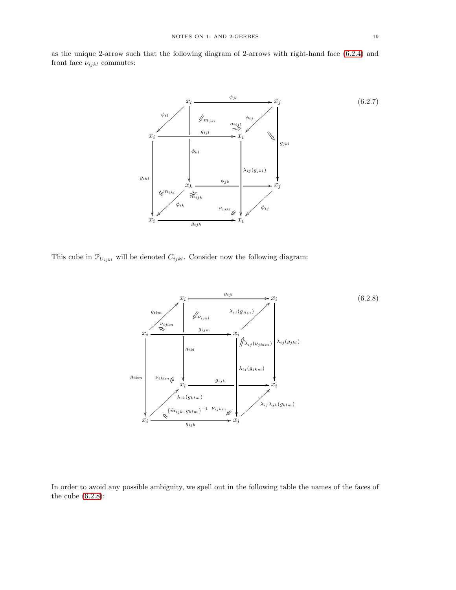as the unique 2-arrow such that the following diagram of 2-arrows with right-hand face [\(6.2.4\)](#page-17-1) and front face  $\nu_{ijkl}$  commutes:

<span id="page-18-1"></span>

This cube in  $\mathcal{P}_{U_{ijkl}}$  will be denoted  $C_{ijkl}$ . Consider now the following diagram:

<span id="page-18-0"></span>

In order to avoid any possible ambiguity, we spell out in the following table the names of the faces of the cube [\(6.2.8\)](#page-18-0):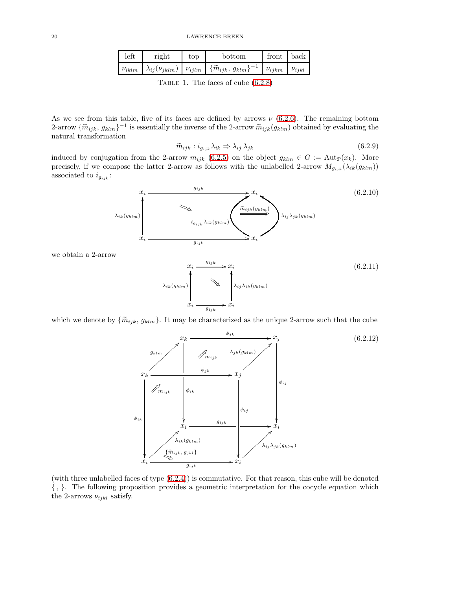| left         | right | top | bottom                                                                                                                                    | front | back |
|--------------|-------|-----|-------------------------------------------------------------------------------------------------------------------------------------------|-------|------|
| $\nu_{iklm}$ |       |     | $\mu_{i} \mid \lambda_{ij}(\nu_{jklm}) \mid \nu_{ijlm} \mid \{\widetilde{m}_{ijk},\, g_{klm}\}^{-1} \mid \nu_{ijkm} \mid \nu_{ijkl} \mid$ |       |      |

TABLE 1. The faces of cube  $(6.2.8)$ 

As we see from this table, five of its faces are defined by arrows  $\nu$  [\(6.2.6\)](#page-17-2). The remaining bottom 2-arrow  $\{\widetilde{m}_{ijk}, g_{klm}\}^{-1}$  is essentially the inverse of the 2-arrow  $\widetilde{m}_{ijk}(g_{klm})$  obtained by evaluating the natural transformation

$$
\widetilde{m}_{ijk} : i_{g_{ijk}} \lambda_{ik} \Rightarrow \lambda_{ij} \lambda_{jk} \tag{6.2.9}
$$

induced by conjugation from the 2-arrow  $m_{ijk}$  [\(6.2.5\)](#page-17-3) on the object  $g_{klm} \in G := \text{Aut}_{\mathcal{P}}(x_k)$ . More precisely, if we compose the latter 2-arrow as follows with the unlabelled 2-arrow  $M_{g_{ijk}}(\lambda_{ik}(g_{klm}))$ associated to  $i_{g_{ijk}}$ :



we obtain a 2-arrow

<span id="page-19-1"></span>

which we denote by  $\{\widetilde{m}_{ijk}, g_{klm}\}\.$  It may be characterized as the unique 2-arrow such that the cube

<span id="page-19-2"></span>

<span id="page-19-0"></span>(with three unlabelled faces of type [\(6.2.4\)](#page-17-1)) is commutative. For that reason, this cube will be denoted { , }. The following proposition provides a geometric interpretation for the cocycle equation which the 2-arrows  $\nu_{ijkl}$  satisfy.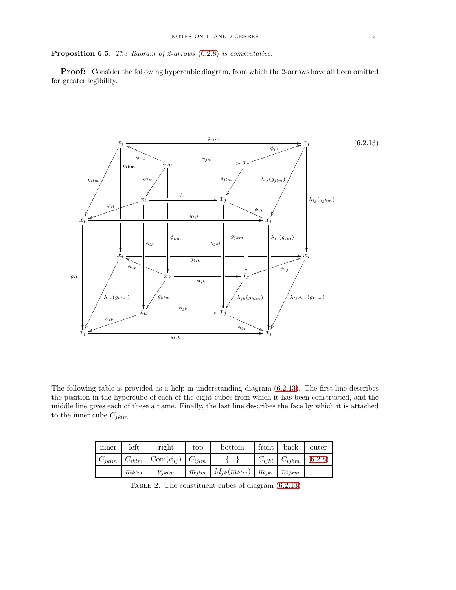Proposition 6.5. *The diagram of 2-arrows* [\(6.2.8\)](#page-18-0) *is commutative.*

Proof: Consider the following hypercubic diagram, from which the 2-arrows have all been omitted for greater legibility.

<span id="page-20-0"></span>

The following table is provided as a help in understanding diagram [\(6.2.13\)](#page-20-0). The first line describes the position in the hypercube of each of the eight cubes from which it has been constructed, and the middle line gives each of these a name. Finally, the last line describes the face by which it is attached to the inner cube  $C_{jklm}$ .

| inner      | left       | right                    | top        | bottom            | front      | back       | outer   |
|------------|------------|--------------------------|------------|-------------------|------------|------------|---------|
| $C_{iklm}$ | $C_{iklm}$ | $\text{Conj}(\phi_{ij})$ | $C_{iilm}$ |                   | $C_{ijkl}$ | $C_{ijkm}$ | (6.2.8) |
|            | $m_{klm}$  | $\nu_{iklm}$             | $m_{ilm}$  | $M_{jk}(m_{klm})$ | $m_{ikl}$  | $m_{ikm}$  |         |

Table 2. The constituent cubes of diagram [\(6.2.13\)](#page-20-0)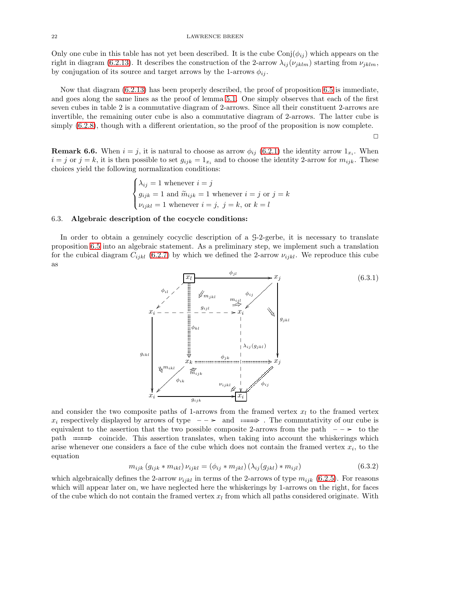Only one cube in this table has not yet been described. It is the cube  $\text{Conj}(\phi_{ij})$  which appears on the right in diagram [\(6.2.13\)](#page-20-0). It describes the construction of the 2-arrow  $\lambda_{ij}(\nu_{jklm})$  starting from  $\nu_{jklm}$ , by conjugation of its source and target arrows by the 1-arrows  $\phi_{ij}$ .

Now that diagram [\(6.2.13\)](#page-20-0) has been properly described, the proof of proposition [6.5](#page-19-0) is immediate, and goes along the same lines as the proof of lemma [5.1.](#page-10-3) One simply observes that each of the first seven cubes in table 2 is a commutative diagram of 2-arrows. Since all their constituent 2-arrows are invertible, the remaining outer cube is also a commutative diagram of 2-arrows. The latter cube is simply [\(6.2.8\)](#page-18-0), though with a different orientation, so the proof of the proposition is now complete.

 $\Box$ 

**Remark 6.6.** When  $i = j$ , it is natural to choose as arrow  $\phi_{ij}$  [\(6.2.1\)](#page-17-4) the identity arrow  $1_{x_i}$ . When  $i = j$  or  $j = k$ , it is then possible to set  $g_{ijk} = 1_x$ , and to choose the identity 2-arrow for  $m_{ijk}$ . These choices yield the following normalization conditions:

$$
\begin{cases} \lambda_{ij} = 1 \text{ whenever } i = j \\ g_{ijk} = 1 \text{ and } \widetilde{m}_{ijk} = 1 \text{ whenever } i = j \text{ or } j = k \\ \nu_{ijkl} = 1 \text{ whenever } i = j, \ j = k, \text{ or } k = l \end{cases}
$$

#### 6.3. Algebraic description of the cocycle conditions:

In order to obtain a genuinely cocyclic description of a G-2-gerbe, it is necessary to translate proposition [6.5](#page-19-0) into an algebraic statement. As a preliminary step, we implement such a translation for the cubical diagram  $C_{ijkl}$  [\(6.2.7\)](#page-18-1) by which we defined the 2-arrow  $\nu_{ijkl}$ . We reproduce this cube as

<span id="page-21-1"></span>![](_page_21_Figure_8.jpeg)

and consider the two composite paths of 1-arrows from the framed vertex  $x_l$  to the framed vertex  $x_i$  respectively displayed by arrows of type  $\hspace{0.1em}$   $\hspace{0.1em}$  and  $\hspace{0.1em}$   $\hspace{0.1em}$   $\hspace{0.1em}$  and  $\hspace{0.1em}$   $\hspace{0.1em}$   $\hspace{0.1em}$   $\hspace{0.1em}$   $\hspace{0.1em}$   $\hspace{0.1em}$   $\hspace{0.1em}$   $\hspace{0.1em}$   $\hspace{0.1em}$ equivalent to the assertion that the two possible composite 2-arrows from the path  $\sim$   $\rightarrow$  to the path  $\equiv$  coincide. This assertion translates, when taking into account the whiskerings which arise whenever one considers a face of the cube which does not contain the framed vertex  $x_i$ , to the equation

<span id="page-21-0"></span>
$$
m_{ijk} (g_{ijk} * m_{ikl}) \nu_{ijkl} = (\phi_{ij} * m_{jkl}) (\lambda_{ij} (g_{jkl}) * m_{ijl})
$$
\n(6.3.2)

which algebraically defines the 2-arrow  $\nu_{ijkl}$  in terms of the 2-arrows of type  $m_{ijk}$  [\(6.2.5\)](#page-17-3). For reasons which will appear later on, we have neglected here the whiskerings by 1-arrows on the right, for faces of the cube which do not contain the framed vertex  $x_l$  from which all paths considered originate. With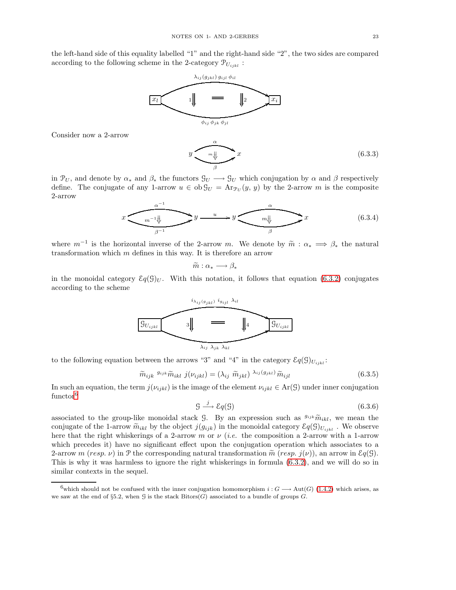the left-hand side of this equality labelled "1" and the right-hand side "2", the two sides are compared according to the following scheme in the 2-category  $\mathcal{P}_{U_{ijkl}}$ :

![](_page_22_Figure_2.jpeg)

Consider now a 2-arrow

 $\hat{y}$ % β  $\overline{\mathcal{H}}$   $\overline{\mathcal{H}}$ ļ ļ ļ  $(6.3.3)$ 

in  $\mathcal{P}_U$ , and denote by  $\alpha_*$  and  $\beta_*$  the functors  $\mathcal{G}_U \longrightarrow \mathcal{G}_U$  which conjugation by  $\alpha$  and  $\beta$  respectively define. The conjugate of any 1-arrow  $u \in ob \mathcal{G}_U = Ar_{\mathcal{P}_U}(y, y)$  by the 2-arrow m is the composite 2-arrow

$$
x \xrightarrow{\alpha^{-1}} y \xrightarrow{u} y \xrightarrow{\alpha} x \qquad (6.3.4)
$$

where  $m^{-1}$  is the horizontal inverse of the 2-arrow m. We denote by  $\widetilde{m}: \alpha_* \implies \beta_*$  the natural transformation which we define in this wave It is therefore as a wave transformation which  $m$  defines in this way. It is therefore an arrow

$$
\widetilde{m}:\alpha_*\longrightarrow \beta_*
$$

in the monoidal category  $\mathcal{E}q(\mathcal{G})_U$ . With this notation, it follows that equation [\(6.3.2\)](#page-21-0) conjugates according to the scheme

![](_page_22_Figure_10.jpeg)

to the following equation between the arrows "3" and "4" in the category  $\mathcal{E}q(\mathcal{G})_{U_{ijkl}}$ :

<span id="page-22-1"></span>
$$
\widetilde{m}_{ijk} \; {^{g_{ijk}}}\widetilde{m}_{ikl} \; j(\nu_{ijkl}) = (\lambda_{ij} \; \widetilde{m}_{jkl}) \; {\lambda_{ij}(g_{jkl})}\; \widetilde{m}_{ijl} \tag{6.3.5}
$$

In such an equation, the term  $j(\nu_{ijkl})$  is the image of the element  $\nu_{ijkl} \in \text{Ar}(\mathcal{G})$  under inner conjugation functor<sup>[6](#page-22-0)</sup>

<span id="page-22-2"></span>
$$
\mathcal{G} \xrightarrow{j} \mathcal{E}q(\mathcal{G}) \tag{6.3.6}
$$

associated to the group-like monoidal stack G. By an expression such as  $g_{ijk}\tilde{m}_{ikl}$ , we mean the conjugate of the 1-arrow  $\tilde{m}_{ikl}$  by the object  $j(g_{ijk})$  in the monoidal category  $\mathcal{E}q(\mathcal{G})_{U_{ijkl}}$ . We observe here that the right whiskerings of a 2-arrow m or  $\nu$  *(i.e.* the composition a 2-arrow with a 1-arrow which precedes it) have no significant effect upon the conjugation operation which associates to a 2-arrow m (resp.  $\nu$ ) in P the corresponding natural transformation  $\tilde{m}$  (resp.  $j(\nu)$ ), an arrow in  $\mathcal{E}q(\mathcal{G})$ . This is why it was harmless to ignore the right whiskerings in formula [\(6.3.2\)](#page-21-0), and we will do so in similar contexts in the sequel.

<span id="page-22-0"></span><sup>6</sup>which should not be confused with the inner conjugation homomorphism  $i : G \longrightarrow Aut(G)$  [\(1.4.2\)](#page-3-3) which arises, as we saw at the end of §5.2, when G is the stack  $Bitors(G)$  associated to a bundle of groups G.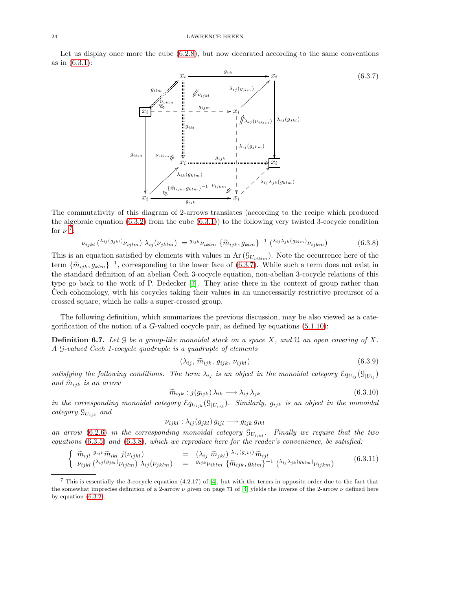Let us display once more the cube  $(6.2.8)$ , but now decorated according to the same conventions as in [\(6.3.1\)](#page-21-1):

<span id="page-23-1"></span>![](_page_23_Figure_2.jpeg)

The commutativity of this diagram of 2-arrows translates (according to the recipe which produced the algebraic equation  $(6.3.2)$  from the cube  $(6.3.1)$  to the following very twisted 3-cocycle condition for  $\nu$ <sup>[7](#page-23-0)</sup>:

<span id="page-23-2"></span>
$$
\nu_{ijkl} \left( \lambda_{ij} (g_{jkl}) \nu_{ijlm} \right) \lambda_{ij} (\nu_{jklm}) = {^{g_{ijk}} \nu_{iklm} \left\{ \widetilde{m}_{ijk}, g_{klm} \right\}^{-1} \left( \lambda_{ij} \lambda_{jk} (g_{klm}) \nu_{ijkm} \right) \tag{6.3.8}
$$

This is an equation satisfied by elements with values in  $\text{Ar}(\mathcal{G}_{U_{ijklm}})$ . Note the occurrence here of the term  $\{\widetilde{m}_{ijk}, g_{klm}\}^{-1}$ , corresponding to the lower face of [\(6.3.7\)](#page-23-1). While such a term does not exist in the standard definition of an abelian Čech 3-cocycle equation, non-abelian 3-cocycle relations of this type go back to the work of P. Dedecker [\[7\]](#page-31-6). They arise there in the context of group rather than Cech cohomology, with his cocycles taking their values in an unnecessarily restrictive precursor of a crossed square, which he calls a super-crossed group.

The following definition, which summarizes the previous discussion, may be also viewed as a categorification of the notion of a  $G$ -valued cocycle pair, as defined by equations [\(5.1.10\)](#page-11-4):

Definition 6.7. *Let* G *be a group-like monoidal stack on a space* X*, and* U *an open covering of* X*. A* G*-valued Cech 1-cocycle quadruple is a quadruple of elements ˇ*

<span id="page-23-3"></span>
$$
(\lambda_{ij}, \tilde{m}_{ijk}, g_{ijk}, \nu_{ijkl}) \tag{6.3.9}
$$

*satisfying the following conditions. The term*  $\lambda_{ij}$  *is an object in the monoidal category*  $\mathcal{E}_{q_{U_{ij}}}(\mathcal{G}_{|U_{ij}})$ *and*  $\widetilde{m}_{iik}$  *is an arrow* 

<span id="page-23-4"></span>
$$
\widetilde{m}_{ijk} : j(g_{ijk}) \lambda_{ik} \longrightarrow \lambda_{ij} \lambda_{jk} \tag{6.3.10}
$$

*in the corresponding monoidal category*  $\mathcal{E}_{qU_{ijk}}(\mathcal{G}_{|U_{ijk}})$ *. Similarly,*  $g_{ijk}$  *is an object in the monoidal category* GUijk *and*

$$
\nu_{ijkl} : \lambda_{ij}(g_{jkl}) g_{ijl} \longrightarrow g_{ijk} g_{ikl}
$$

*an arrow* [\(6.2.6\)](#page-17-2) *in the corresponding monoidal category*  $\mathcal{G}_{U_{ijkl}}$ *. Finally we require that the two equations* [\(6.3.5\)](#page-22-1) *and* [\(6.3.8\)](#page-23-2)*, which we reproduce here for the reader's convenience, be satisfied:*

$$
\begin{cases}\n\widetilde{m}_{ijl} \frac{g_{ijk}}{\widetilde{m}_{ikl}} \frac{j(\nu_{ijkl})}{j(\nu_{ijkl})}\n\end{cases} = \left(\lambda_{ij} \frac{\widetilde{m}_{jkl}}{\widetilde{m}_{jkl}}\right) \frac{\lambda_{ij}(g_{jkl})}{\widetilde{m}_{ijl}}\n\widetilde{m}_{ijl}\n\begin{cases}\n\widetilde{m}_{ijkl} \left(\lambda_{ij}(g_{jkl})\right) \frac{j}{j(\nu_{ijl})}\n\end{cases} \left(6.3.11\right)
$$

<span id="page-23-0"></span><sup>7</sup> This is essentially the 3-cocycle equation (4.2.17) of [\[4\]](#page-31-1), but with the terms in opposite order due to the fact that the somewhat imprecise definition of a 2-arrow  $\nu$  given on page 71 of [\[4\]](#page-31-1) yields the inverse of the 2-arrow  $\nu$  defined here by equation [\(6.3.2\)](#page-21-0).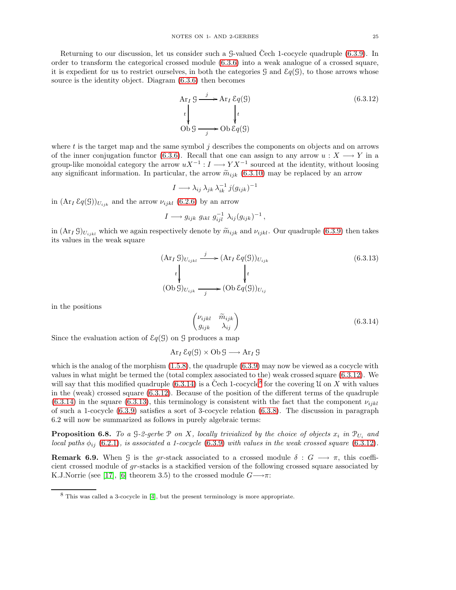Returning to our discussion, let us consider such a  $-$  G-valued Cech 1-cocycle quadruple  $(6.3.9)$ . In order to transform the categorical crossed module [\(6.3.6\)](#page-22-2) into a weak analogue of a crossed square, it is expedient for us to restrict ourselves, in both the categories  $\mathcal{G}$  and  $\mathcal{E}q(\mathcal{G})$ , to those arrows whose source is the identity object. Diagram [\(6.3.6\)](#page-22-2) then becomes

<span id="page-24-0"></span>
$$
\begin{aligned}\n&\text{Ar}_I \mathcal{G} & \xrightarrow{j} \text{Ar}_I \mathcal{E}q(\mathcal{G}) \\
&\downarrow \quad \qquad \downarrow t \\
&\text{Ob } \mathcal{G} & \xrightarrow{j} \text{Ob } \mathcal{E}q(\mathcal{G})\n\end{aligned}\n\tag{6.3.12}
$$

where  $t$  is the target map and the same symbol  $j$  describes the components on objects and on arrows of the inner conjugation functor [\(6.3.6\)](#page-22-2). Recall that one can assign to any arrow  $u : X \longrightarrow Y$  in a group-like monoidal category the arrow  $uX^{-1}: I \longrightarrow YX^{-1}$  sourced at the identity, without loosing any significant information. In particular, the arrow  $\tilde{m}_{ijk}$  [\(6.3.10\)](#page-23-4) may be replaced by an arrow

$$
I \longrightarrow \lambda_{ij} \lambda_{jk} \lambda_{ik}^{-1} j(g_{ijk})^{-1}
$$

in  $(\text{Ar}_I \,\mathcal{E}q(\mathcal{G}))_{U_{ijk}}$  and the arrow  $\nu_{ijkl}$  [\(6.2.6\)](#page-17-2) by an arrow

$$
I \longrightarrow g_{ijk} g_{ikl} g_{ijl}^{-1} \lambda_{ij} (g_{ijk})^{-1},
$$

in  $(\text{Ar}_I \mathcal{G})_{U_{ijkl}}$  which we again respectively denote by  $\tilde{m}_{ijk}$  and  $\nu_{ijkl}$ . Our quadruple [\(6.3.9\)](#page-23-3) then takes its values in the weak square

<span id="page-24-3"></span>
$$
(\text{Ar}_I \mathcal{G})_{U_{ijkl}} \xrightarrow{j} (\text{Ar}_I \mathcal{E}q(\mathcal{G}))_{U_{ijk}}
$$
\n
$$
\downarrow \qquad \qquad \downarrow t
$$
\n
$$
(\text{Ob } \mathcal{G})_{U_{ijk}} \xrightarrow{j} (\text{Ob } \mathcal{E}q(\mathcal{G}))_{U_{ij}}
$$
\n
$$
(6.3.13)
$$

in the positions

<span id="page-24-1"></span>
$$
\begin{pmatrix} \nu_{ijkl} & \widetilde{m}_{ijk} \\ g_{ijk} & \lambda_{ij} \end{pmatrix}
$$
 (6.3.14)

Since the evaluation action of  $\mathcal{E}q(\mathcal{G})$  on  $\mathcal{G}$  produces a map

$$
\operatorname{Ar}_I \mathcal{E}q(\mathcal{G}) \times \operatorname{Ob} \mathcal{G} \longrightarrow \operatorname{Ar}_I \mathcal{G}
$$

which is the analog of the morphism  $(1.5.8)$ , the quadruple  $(6.3.9)$  may now be viewed as a cocycle with values in what might be termed the (total complex associated to the) weak crossed square [\(6.3.12\)](#page-24-0). We will say that this modified quadruple [\(6.3.14\)](#page-24-1) is a Čech 1-cocycle<sup>[8](#page-24-2)</sup> for the covering U on X with values in the (weak) crossed square [\(6.3.12\)](#page-24-0). Because of the position of the different terms of the quadruple  $(6.3.14)$  in the square  $(6.3.13)$ , this terminology is consistent with the fact that the component  $\nu_{ijkl}$ of such a 1-cocycle [\(6.3.9\)](#page-23-3) satisfies a sort of 3-cocycle relation [\(6.3.8\)](#page-23-2). The discussion in paragraph 6.2 will now be summarized as follows in purely algebraic terms:

<span id="page-24-4"></span>**Proposition 6.8.** To a  $\mathcal{G}\text{-}2\text{-}gerbe \mathcal{P}$  on X, locally trivialized by the choice of objects  $x_i$  in  $\mathcal{P}_{U_i}$  and *local paths*  $\phi_{ij}$  [\(6.2.1\)](#page-17-4)*, is associated a 1-cocycle* [\(6.3.9\)](#page-23-3) *with values in the weak crossed square* [\(6.3.12\)](#page-24-0).

**Remark 6.9.** When G is the gr-stack associated to a crossed module  $\delta: G \longrightarrow \pi$ , this coefficient crossed module of gr-stacks is a stackified version of the following crossed square associated by K.J.Norrie (see [\[17\]](#page-32-14), [\[6\]](#page-31-7) theorem 3.5) to the crossed module  $G \rightarrow \pi$ :

<span id="page-24-2"></span><sup>8</sup> This was called a 3-cocycle in [\[4\]](#page-31-1), but the present terminology is more appropriate.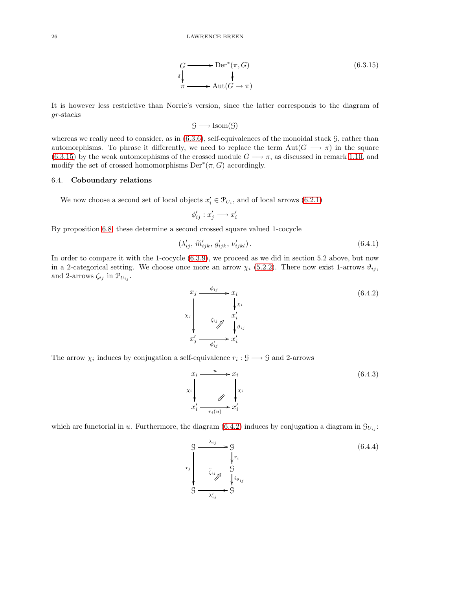<span id="page-25-0"></span>
$$
G \longrightarrow \text{Der}^*(\pi, G)
$$
  
\n
$$
\downarrow \qquad \qquad \downarrow
$$
  
\n
$$
\pi \longrightarrow \text{Aut}(G \to \pi)
$$
  
\n(6.3.15)

It is however less restrictive than Norrie's version, since the latter corresponds to the diagram of gr-stacks

$$
\mathcal{G} \longrightarrow \mathrm{Isom}(\mathcal{G})
$$

whereas we really need to consider, as in  $(6.3.6)$ , self-equivalences of the monoidal stack  $\mathcal{G}$ , rather than automorphisms. To phrase it differently, we need to replace the term  $Aut(G \longrightarrow \pi)$  in the square [\(6.3.15\)](#page-25-0) by the weak automorphisms of the crossed module  $G \rightarrow \pi$ , as discussed in remark [1.10,](#page-6-4) and modify the set of crossed homomorphisms  $Der^*(\pi, G)$  accordingly.

## 6.4. Coboundary relations

We now choose a second set of local objects  $x'_i \in \mathcal{P}_{U_i}$ , and of local arrows [\(6.2.1\)](#page-17-4)

$$
\phi_{ij}':x_j'\longrightarrow x_i'
$$

By proposition [6.8,](#page-24-4) these determine a second crossed square valued 1-cocycle

<span id="page-25-2"></span>
$$
\left(\lambda'_{ij}, \tilde{m}'_{ijk}, g'_{ijk}, \nu'_{ijkl}\right). \tag{6.4.1}
$$

In order to compare it with the 1-cocycle  $(6.3.9)$ , we proceed as we did in section 5.2 above, but now in a 2-categorical setting. We choose once more an arrow  $\chi_i$  [\(5.2.2\)](#page-12-2). There now exist 1-arrows  $\vartheta_{ij}$ , and 2-arrows  $\zeta_{ij}$  in  $\mathcal{P}_{U_{ij}}$ .

<span id="page-25-1"></span>
$$
x_j \xrightarrow{\phi_{ij}} x_i
$$
  
\n
$$
x_j \xrightarrow{\zeta_{ij}} x'_i
$$
  
\n
$$
x'_j \xrightarrow{\zeta_{ij}} x'_i
$$
  
\n
$$
x'_j \xrightarrow{\phi'_{ij}} x'_i
$$
  
\n(6.4.2)

The arrow  $\chi_i$  induces by conjugation a self-equivalence  $r_i : \mathcal{G} \longrightarrow \mathcal{G}$  and 2-arrows

$$
x_i \xrightarrow{u} x_i
$$
  
\n
$$
x_i
$$
  
\n
$$
x_i
$$
  
\n
$$
x'_i \xrightarrow{u} x'_i
$$
  
\n
$$
(6.4.3)
$$
  
\n
$$
x'_i \xrightarrow{r_i(u)} x'_i
$$

which are functorial in u. Furthermore, the diagram [\(6.4.2\)](#page-25-1) induces by conjugation a diagram in  $\mathcal{G}_{U_i}$ :

$$
g \xrightarrow{\lambda_{ij}} g
$$
\n
$$
r_j \xrightarrow[\tilde{\zeta}_{ij}]{\tilde{\zeta}_{ij}} g
$$
\n
$$
g \xrightarrow{\lambda'_{ij}} g
$$
\n(6.4.4)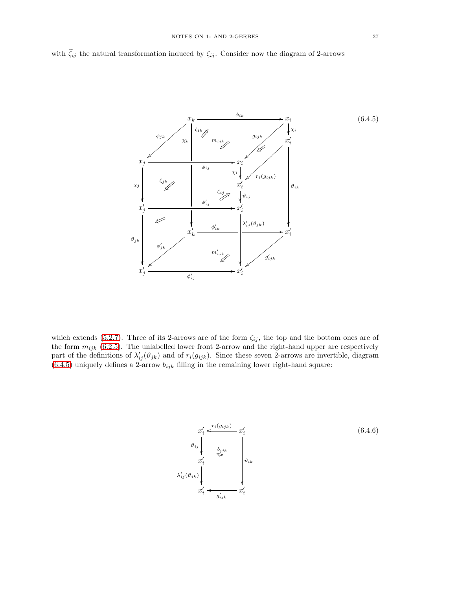with  $\tilde{\zeta}_{ij}$  the natural transformation induced by  $\zeta_{ij}$ . Consider now the diagram of 2-arrows

<span id="page-26-0"></span>![](_page_26_Figure_2.jpeg)

which extends [\(5.2.7\)](#page-13-0). Three of its 2-arrows are of the form  $\zeta_{ij}$ , the top and the bottom ones are of the form  $m_{ijk}$  [\(6.2.5\)](#page-17-3). The unlabelled lower front 2-arrow and the right-hand upper are respectively part of the definitions of  $\lambda'_{ij}(\vartheta_{jk})$  and of  $r_i(g_{ijk})$ . Since these seven 2-arrows are invertible, diagram [\(6.4.5\)](#page-26-0) uniquely defines a 2-arrow  $b_{ijk}$  filling in the remaining lower right-hand square:

<span id="page-26-1"></span>![](_page_26_Figure_4.jpeg)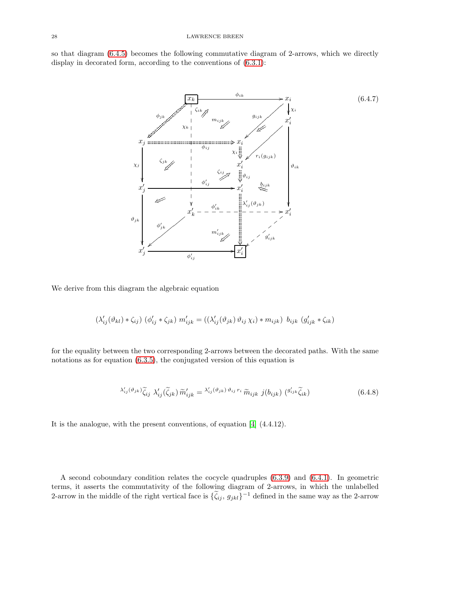so that diagram [\(6.4.5\)](#page-26-0) becomes the following commutative diagram of 2-arrows, which we directly display in decorated form, according to the conventions of [\(6.3.1\)](#page-21-1):

<span id="page-27-0"></span>![](_page_27_Figure_2.jpeg)

We derive from this diagram the algebraic equation

$$
(\lambda'_{ij}(\vartheta_{kl})*\zeta_{ij})\;(\phi'_{ij}*\zeta_{jk})\;m'_{ijk}=((\lambda'_{ij}(\vartheta_{jk})\,\vartheta_{ij}\,\chi_i)*m_{ijk})\;\;b_{ijk}\;(g'_{ijk}*\zeta_{ik})
$$

for the equality between the two corresponding 2-arrows between the decorated paths. With the same notations as for equation [\(6.3.5\)](#page-22-1), the conjugated version of this equation is

<span id="page-27-1"></span>
$$
\lambda'_{ij}(\vartheta_{jk})\widetilde{\zeta}_{ij}\ \lambda'_{ij}(\widetilde{\zeta}_{jk})\widetilde{m}'_{ijk} = \lambda'_{ij}(\vartheta_{jk})\,\vartheta_{ij}\,r_i\,\widetilde{m}_{ijk}\,\,j(b_{ijk})\,\left(\vartheta'_{ijk}\widetilde{\zeta}_{ik}\right) \tag{6.4.8}
$$

It is the analogue, with the present conventions, of equation [\[4\]](#page-31-1) (4.4.12).

A second coboundary condition relates the cocycle quadruples [\(6.3.9\)](#page-23-3) and [\(6.4.1\)](#page-25-2). In geometric terms, it asserts the commutativity of the following diagram of 2-arrows, in which the unlabelled 2-arrow in the middle of the right vertical face is  $\{\zeta_{ij}, g_{jkl}\}^{-1}$  defined in the same way as the 2-arrow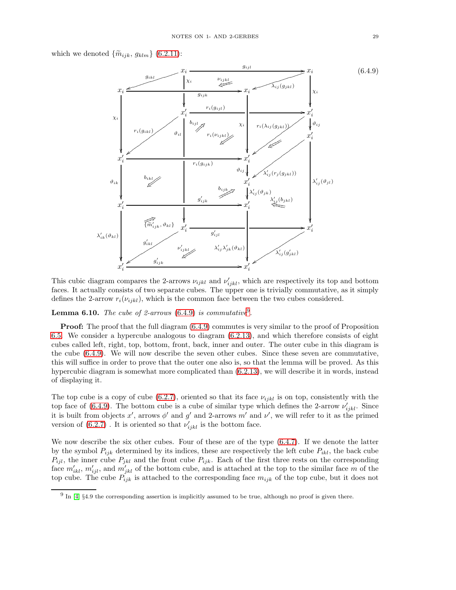which we denoted  $\{\widetilde{m}_{ijk}, g_{klm}\}$  [\(6.2.11\)](#page-19-1):

<span id="page-28-0"></span>![](_page_28_Figure_2.jpeg)

This cubic diagram compares the 2-arrows  $\nu_{ijkl}$  and  $\nu'_{ijkl}$ , which are respectively its top and bottom faces. It actually consists of two separate cubes. The upper one is trivially commutative, as it simply defines the 2-arrow  $r_i(\nu_{ijkl})$ , which is the common face between the two cubes considered.

**Lemma 6.10.** *The cube of 2-arrows*  $(6.4.9)$  *is commutative*<sup>[9](#page-28-1)</sup>.

**Proof:** The proof that the full diagram  $(6.4.9)$  commutes is very similar to the proof of Proposition [6.5.](#page-19-0) We consider a hypercube analogous to diagram [\(6.2.13\)](#page-20-0), and which therefore consists of eight cubes called left, right, top, bottom, front, back, inner and outer. The outer cube in this diagram is the cube [\(6.4.9\)](#page-28-0). We will now describe the seven other cubes. Since these seven are commutative, this will suffice in order to prove that the outer one also is, so that the lemma will be proved. As this hypercubic diagram is somewhat more complicated than [\(6.2.13\)](#page-20-0), we will describe it in words, instead of displaying it.

The top cube is a copy of cube [\(6.2.7\)](#page-18-1), oriented so that its face  $\nu_{ijkl}$  is on top, consistently with the top face of [\(6.4.9\)](#page-28-0). The bottom cube is a cube of similar type which defines the 2-arrow  $\nu'_{ijkl}$ . Since it is built from objects x', arrows  $\phi'$  and g' and 2-arrows m' and  $\nu'$ , we will refer to it as the primed version of  $(6.2.7)$ . It is oriented so that  $\nu'_{ijkl}$  is the bottom face.

We now describe the six other cubes. Four of these are of the type  $(6.4.7)$ . If we denote the latter by the symbol  $P_{ijk}$  determined by its indices, these are respectively the left cube  $P_{ikl}$ , the back cube  $P_{ijl}$ , the inner cube  $P_{jkl}$  and the front cube  $P_{ijk}$ . Each of the first three rests on the corresponding face  $m'_{ikl}$ ,  $m'_{ijl}$ , and  $m'_{jkl}$  of the bottom cube, and is attached at the top to the similar face m of the top cube. The cube  $P_{ijk}$  is attached to the corresponding face  $m_{ijk}$  of the top cube, but it does not

<span id="page-28-1"></span> $9 \text{ In } [4]$  $9 \text{ In } [4]$  §4.9 the corresponding assertion is implicitly assumed to be true, although no proof is given there.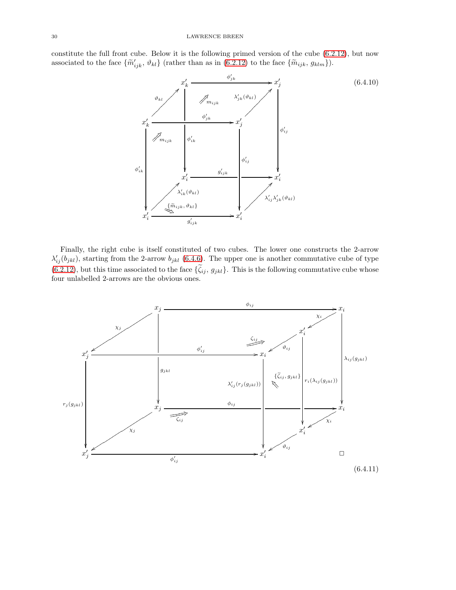constitute the full front cube. Below it is the following primed version of the cube [\(6.2.12\)](#page-19-2), but now associated to the face  $\{\widetilde{m}_{ijk}, \vartheta_{kl}\}$  (rather than as in [\(6.2.12\)](#page-19-2) to the face  $\{\widetilde{m}_{ijk}, g_{klm}\}$ ).

![](_page_29_Figure_2.jpeg)

Finally, the right cube is itself constituted of two cubes. The lower one constructs the 2-arrow  $\lambda'_{ij}(b_{jkl})$ , starting from the 2-arrow  $b_{jkl}$  [\(6.4.6\)](#page-26-1). The upper one is another commutative cube of type [\(6.2.12\)](#page-19-2), but this time associated to the face  $\{\tilde{\zeta}_{ij}, g_{jkl}\}.$  This is the following commutative cube whose four unlabelled 2-arrows are the obvious ones.

![](_page_29_Figure_4.jpeg)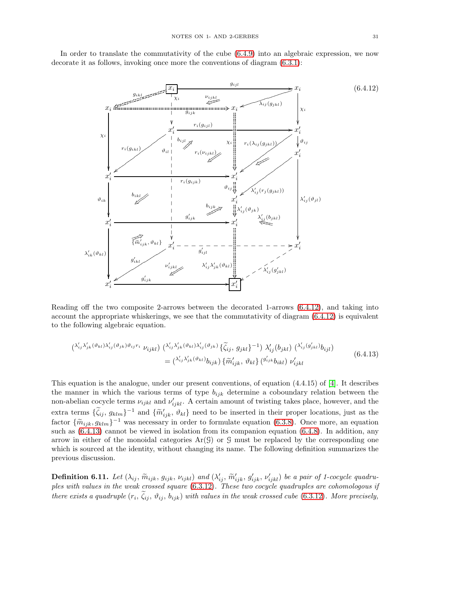In order to translate the commutativity of the cube [\(6.4.9\)](#page-28-0) into an algebraic expression, we now decorate it as follows, invoking once more the conventions of diagram [\(6.3.1\)](#page-21-1):

<span id="page-30-0"></span>![](_page_30_Figure_2.jpeg)

Reading off the two composite 2-arrows between the decorated 1-arrows [\(6.4.12\)](#page-30-0), and taking into account the appropriate whiskerings, we see that the commutativity of diagram [\(6.4.12\)](#page-30-0) is equivalent to the following algebraic equation.

<span id="page-30-1"></span>
$$
\begin{split} \left(\lambda'_{ij}\lambda'_{jk}(\vartheta_{kl})\lambda'_{ij}(\vartheta_{jk})\vartheta_{ij}r_{i} \right) \left(\lambda'_{ij}\lambda'_{jk}(\vartheta_{kl})\lambda'_{ij}(\vartheta_{jk})\right) \left(\widetilde{\zeta}_{ij},\,g_{jkl}\right)^{-1}\right) \lambda'_{ij}\left(b_{jkl}\right) \left(\lambda'_{ij}(g'_{jkl})b_{ijl}\right) \\ &= \left(\lambda'_{ij}\lambda'_{jk}(\vartheta_{kl})b_{ijk}\right) \left\{\widetilde{m}'_{ijk},\,\vartheta_{kl}\right\} \left(\vartheta'_{ijk}b_{ikl}\right) \nu'_{ijkl} \end{split} \tag{6.4.13}
$$

This equation is the analogue, under our present conventions, of equation (4.4.15) of [\[4\]](#page-31-1). It describes the manner in which the various terms of type  $b_{ijk}$  determine a coboundary relation between the non-abelian cocycle terms  $\nu_{ijkl}$  and  $\nu'_{ijkl}$ . A certain amount of twisting takes place, however, and the extra terms  $\{\zeta_{ij}, g_{klm}\}^{-1}$  and  $\{\widetilde{m}_{ijk}', \vartheta_{kl}\}$  need to be inserted in their proper locations, just as the factor  $\{\widetilde{m}_{ijk}, g_{klm}\}^{-1}$  was necessary in order to formulate equation [\(6.3.8\)](#page-23-2). Once more, an equation  $(c, 4, 8)$ ,  $\Gamma_{12}$  and different properties  $(c, 4, 8)$ . such as  $(6.4.13)$  cannot be viewed in isolation from its companion equation  $(6.4.8)$ . In addition, any arrow in either of the monoidal categories  $Ar(\mathcal{G})$  or  $\mathcal{G}$  must be replaced by the corresponding one which is sourced at the identity, without changing its name. The following definition summarizes the previous discussion.

**Definition 6.11.** Let  $(\lambda_{ij}, \widetilde{m}_{ijk}, g_{ijk}, \nu_{ijkl})$  and  $(\lambda'_{ij}, \widetilde{m}'_{ijk}, g'_{ijk}, \nu'_{ijkl})$  be a pair of 1-cocycle quadru*ples with values in the weak crossed square* [\(6.3.12\)](#page-24-0)*. These two cocycle quadruples are cohomologous if there exists a quadruple*  $(r_i, \zeta_{ij}, \vartheta_{ij}, b_{ijk})$  *with values in the weak crossed cube* [\(6.3.12\)](#page-24-0). More precisely,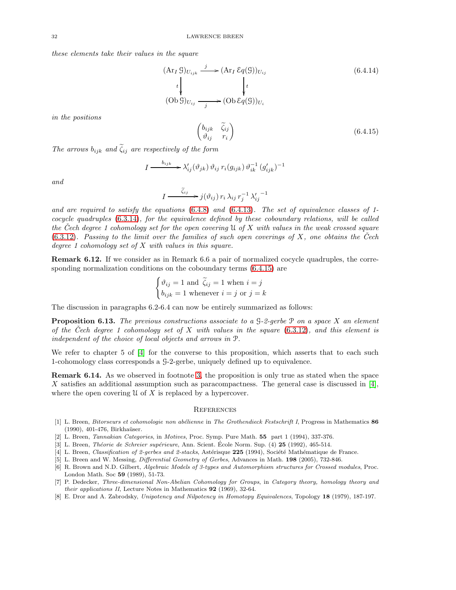*these elements take their values in the square*

$$
(\text{Ar}_I \mathcal{G})_{U_{ijk}} \xrightarrow{j} (\text{Ar}_I \mathcal{E}q(\mathcal{G}))_{U_{ij}} \qquad (6.4.14)
$$
  
\n
$$
\downarrow \qquad \qquad t
$$
  
\n
$$
(\text{Ob}\,\mathcal{G})_{U_{ij}} \xrightarrow{j} (\text{Ob}\,\mathcal{E}q(\mathcal{G}))_{U_i}
$$
  
\n
$$
\left(\begin{array}{cc} b_{ijk} & \tilde{\zeta}_{ij} \\ \vartheta_{ij} & r_i \end{array}\right) \qquad (6.4.15)
$$

*in the positions*

*The arrows*  $b_{ijk}$  *and*  $\tilde{\zeta}_{ij}$  *are respectively of the form* 

<span id="page-31-8"></span>
$$
I \xrightarrow{\quad b_{ijk} \quad \lambda'_{ij}(\vartheta_{jk}) \vartheta_{ij} r_i(g_{ijk}) \vartheta_{ik}^{-1} (g'_{ijk})^{-1}
$$

*and*

$$
I \xrightarrow{\tilde{\zeta}_{ij}} j(\vartheta_{ij}) r_i \lambda_{ij} r_j^{-1} {\lambda'_{ij}}^{-1}
$$

*and are required to satisfy the equations* [\(6.4.8\)](#page-27-1) *and* [\(6.4.13\)](#page-30-1)*. The set of equivalence classes of 1 cocycle quadruples* [\(6.3.14\)](#page-24-1)*, for the equivalence defined by these coboundary relations, will be called the Cech degree 1 cohomology set for the open covering ˇ* U *of* X *with values in the weak crossed square* [\(6.3.12\)](#page-24-0). Passing to the limit over the families of such open coverings of X, one obtains the  $\check{C}ech$ *degree 1 cohomology set of* X *with values in this square.*

Remark 6.12. If we consider as in Remark 6.6 a pair of normalized cocycle quadruples, the corresponding normalization conditions on the coboundary terms [\(6.4.15\)](#page-31-8) are

$$
\begin{cases} \vartheta_{ij} = 1 \text{ and } \tilde{\zeta}_{ij} = 1 \text{ when } i = j \\ b_{ijk} = 1 \text{ whenever } i = j \text{ or } j = k \end{cases}
$$

The discussion in paragraphs 6.2-6.4 can now be entirely summarized as follows:

Proposition 6.13. *The previous constructions associate to a* G*-2-gerbe* P *on a space* X *an element of the Cech degree 1 cohomology set of ˇ* X *with values in the square* [\(6.3.12\)](#page-24-0)*, and this element is independent of the choice of local objects and arrows in* P*.*

We refer to chapter 5 of [\[4\]](#page-31-1) for the converse to this proposition, which asserts that to each such 1-cohomology class corresponds a G-2-gerbe, uniquely defined up to equivalence.

Remark 6.14. As we observed in footnote [3,](#page-10-0) the proposition is only true as stated when the space X satisfies an additional assumption such as paracompactness. The general case is discussed in  $[4]$ , where the open covering  $\mathfrak U$  of X is replaced by a hypercover.

#### **REFERENCES**

- <span id="page-31-0"></span>[1] L. Breen, Bitorseurs et cohomologie non abélienne in The Grothendieck Festschrift I, Progress in Mathematics 86 (1990), 401-476, Birkhaüser.
- <span id="page-31-4"></span><span id="page-31-3"></span>[2] L. Breen, Tannakian Categories, in Motives, Proc. Symp. Pure Math. 55 part 1 (1994), 337-376.
- <span id="page-31-1"></span>[3] L. Breen, *Théorie de Schreier supérieure*, Ann. Scient. École Norm. Sup.  $(4)$  **25** (1992), 465-514.
- <span id="page-31-2"></span>[4] L. Breen, Classification of 2-gerbes and 2-stacks, Astérisque 225 (1994), Société Mathématique de France.
- <span id="page-31-7"></span>[5] L. Breen and W. Messing, Differential Geometry of Gerbes, Advances in Math. 198 (2005), 732-846.
- [6] R. Brown and N.D. Gilbert, Algebraic Models of 3-types and Automorphism structures for Crossed modules, Proc. London Math. Soc 59 (1989), 51-73.
- <span id="page-31-6"></span>[7] P. Dedecker, Three-dimensional Non-Abelian Cohomology for Groups, in Category theory, homology theory and their applications II, Lecture Notes in Mathematics 92 (1969), 32-64.
- <span id="page-31-5"></span>[8] E. Dror and A. Zabrodsky, Unipotency and Nilpotency in Homotopy Equivalences, Topology 18 (1979), 187-197.